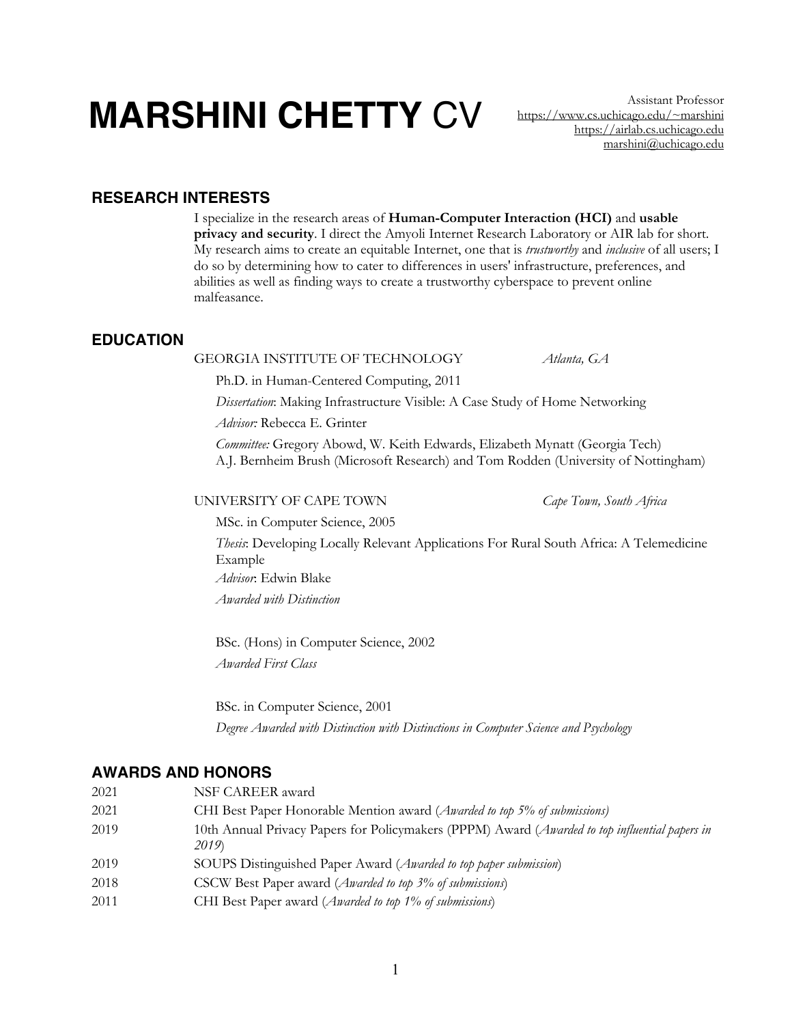# **MARSHINI CHETTY** CV Assistant Professor

https://www.cs.uchicago.edu/~marshini https://airlab.cs.uchicago.edu marshini@uchicago.edu

# **RESEARCH INTERESTS**

I specialize in the research areas of **Human-Computer Interaction (HCI)** and **usable privacy and security**. I direct the Amyoli Internet Research Laboratory or AIR lab for short. My research aims to create an equitable Internet, one that is *trustworthy* and *inclusive* of all users; I do so by determining how to cater to differences in users' infrastructure, preferences, and abilities as well as finding ways to create a trustworthy cyberspace to prevent online malfeasance.

# **EDUCATION**

#### GEORGIA INSTITUTE OF TECHNOLOGY *Atlanta, GA*

Ph.D. in Human-Centered Computing, 2011

*Dissertation*: Making Infrastructure Visible: A Case Study of Home Networking

*Advisor:* Rebecca E. Grinter

*Committee:* Gregory Abowd, W. Keith Edwards, Elizabeth Mynatt (Georgia Tech) A.J. Bernheim Brush (Microsoft Research) and Tom Rodden (University of Nottingham)

#### UNIVERSITY OF CAPE TOWN *Cape Town, South Africa*

MSc. in Computer Science, 2005

*Thesis*: Developing Locally Relevant Applications For Rural South Africa: A Telemedicine Example

*Advisor*: Edwin Blake

*Awarded with Distinction*

BSc. (Hons) in Computer Science, 2002 *Awarded First Class*

BSc. in Computer Science, 2001 *Degree Awarded with Distinction with Distinctions in Computer Science and Psychology* 

# **AWARDS AND HONORS**

- 2021 NSF CAREER award
- 2021 CHI Best Paper Honorable Mention award (*Awarded to top 5% of submissions)*
- 2019 10th Annual Privacy Papers for Policymakers (PPPM) Award (*Awarded to top influential papers in 2019*)
- 2019 SOUPS Distinguished Paper Award (*Awarded to top paper submission*)
- 2018 CSCW Best Paper award (*Awarded to top 3% of submissions*)
- 2011 CHI Best Paper award (*Awarded to top 1% of submissions*)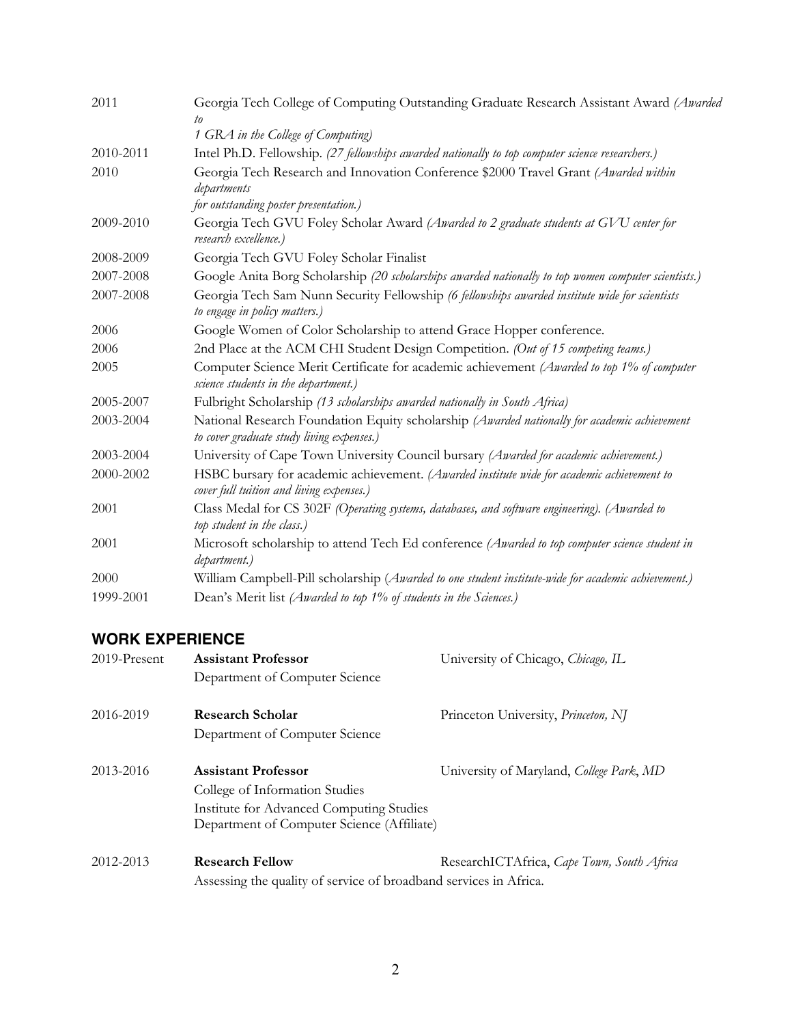| Georgia Tech College of Computing Outstanding Graduate Research Assistant Award (Awarded<br>to                                              |
|---------------------------------------------------------------------------------------------------------------------------------------------|
| 1 GRA in the College of Computing)                                                                                                          |
| Intel Ph.D. Fellowship. (27 fellowships awarded nationally to top computer science researchers.)                                            |
| Georgia Tech Research and Innovation Conference \$2000 Travel Grant (Awarded within<br>departments<br>for outstanding poster presentation.) |
| Georgia Tech GVU Foley Scholar Award (Awarded to 2 graduate students at GVU center for<br>research excellence.)                             |
| Georgia Tech GVU Foley Scholar Finalist                                                                                                     |
| Google Anita Borg Scholarship (20 scholarships awarded nationally to top women computer scientists.)                                        |
| Georgia Tech Sam Nunn Security Fellowship (6 fellowships awarded institute wide for scientists<br>to engage in policy matters.)             |
| Google Women of Color Scholarship to attend Grace Hopper conference.                                                                        |
| 2nd Place at the ACM CHI Student Design Competition. (Out of 15 competing teams.)                                                           |
| Computer Science Merit Certificate for academic achievement (Awarded to top 1% of computer<br>science students in the department.)          |
| Fulbright Scholarship (13 scholarships awarded nationally in South Africa)                                                                  |
| National Research Foundation Equity scholarship (Awarded nationally for academic achievement<br>to cover graduate study living expenses.)   |
| University of Cape Town University Council bursary (Awarded for academic achievement.)                                                      |
| HSBC bursary for academic achievement. (Awarded institute wide for academic achievement to<br>cover full tuition and living expenses.)      |
| Class Medal for CS 302F (Operating systems, databases, and software engineering). (Awarded to<br>top student in the class.)                 |
| Microsoft scholarship to attend Tech Ed conference (Awarded to top computer science student in<br>department.)                              |
| William Campbell-Pill scholarship (Awarded to one student institute-wide for academic achievement.)                                         |
| Dean's Merit list (Awarded to top 1% of students in the Sciences.)                                                                          |
|                                                                                                                                             |

# **WORK EXPERIENCE**

| $2019$ -Present | <b>Assistant Professor</b>                                        | University of Chicago, Chicago, IL         |  |
|-----------------|-------------------------------------------------------------------|--------------------------------------------|--|
|                 | Department of Computer Science                                    |                                            |  |
| 2016-2019       | <b>Research Scholar</b>                                           | Princeton University, Princeton, NJ        |  |
|                 | Department of Computer Science                                    |                                            |  |
| 2013-2016       | <b>Assistant Professor</b>                                        | University of Maryland, College Park, MD   |  |
|                 | College of Information Studies                                    |                                            |  |
|                 | Institute for Advanced Computing Studies                          |                                            |  |
|                 | Department of Computer Science (Affiliate)                        |                                            |  |
| 2012-2013       | <b>Research Fellow</b>                                            | ResearchICTAfrica, Cape Town, South Africa |  |
|                 | Assessing the quality of service of broadband services in Africa. |                                            |  |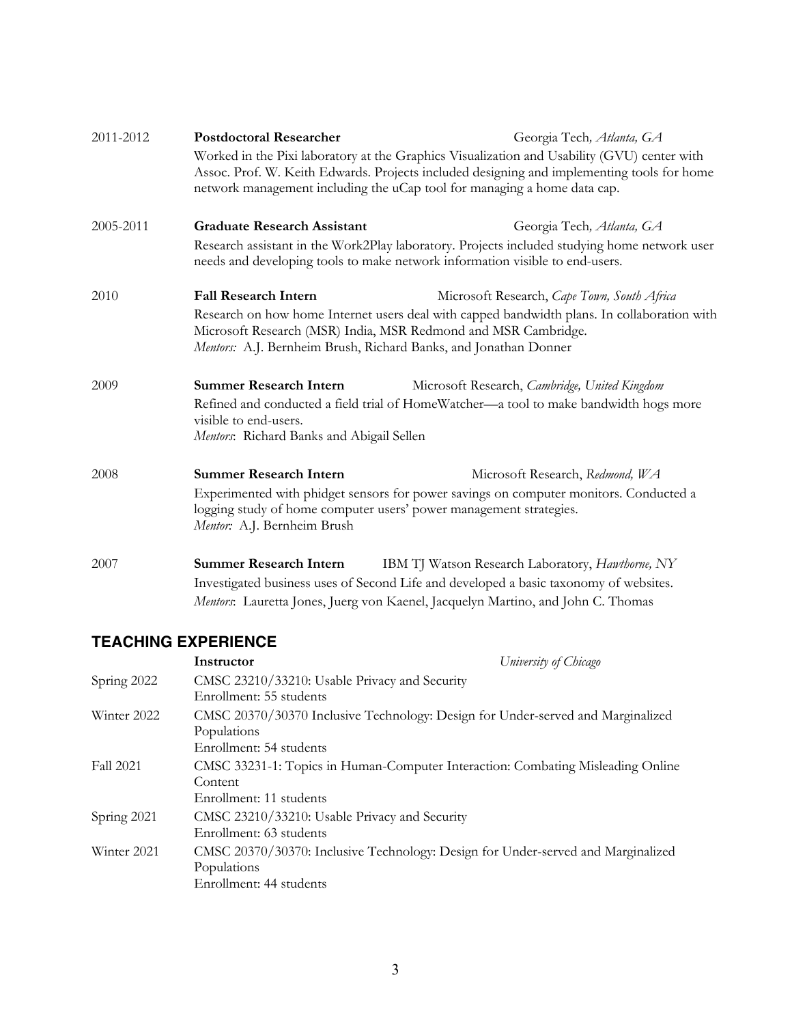| 2011-2012 | <b>Postdoctoral Researcher</b>                                                                                                                                                            | Georgia Tech, Atlanta, GA                                                                                                                                                    |  |
|-----------|-------------------------------------------------------------------------------------------------------------------------------------------------------------------------------------------|------------------------------------------------------------------------------------------------------------------------------------------------------------------------------|--|
|           | Worked in the Pixi laboratory at the Graphics Visualization and Usability (GVU) center with<br>Assoc. Prof. W. Keith Edwards. Projects included designing and implementing tools for home |                                                                                                                                                                              |  |
|           |                                                                                                                                                                                           | network management including the uCap tool for managing a home data cap.                                                                                                     |  |
| 2005-2011 | <b>Graduate Research Assistant</b>                                                                                                                                                        | Georgia Tech, Atlanta, GA                                                                                                                                                    |  |
|           |                                                                                                                                                                                           | Research assistant in the Work2Play laboratory. Projects included studying home network user<br>needs and developing tools to make network information visible to end-users. |  |
| 2010      | <b>Fall Research Intern</b>                                                                                                                                                               | Microsoft Research, Cape Town, South Africa                                                                                                                                  |  |
|           | Microsoft Research (MSR) India, MSR Redmond and MSR Cambridge.<br>Mentors: A.J. Bernheim Brush, Richard Banks, and Jonathan Donner                                                        | Research on how home Internet users deal with capped bandwidth plans. In collaboration with                                                                                  |  |
| 2009      | <b>Summer Research Intern</b>                                                                                                                                                             | Microsoft Research, Cambridge, United Kingdom                                                                                                                                |  |
|           | visible to end-users.<br>Mentors: Richard Banks and Abigail Sellen                                                                                                                        | Refined and conducted a field trial of HomeWatcher—a tool to make bandwidth hogs more                                                                                        |  |
| 2008      | <b>Summer Research Intern</b>                                                                                                                                                             | Microsoft Research, Redmond, WA                                                                                                                                              |  |
|           | logging study of home computer users' power management strategies.<br>Mentor: A.J. Bernheim Brush                                                                                         | Experimented with phidget sensors for power savings on computer monitors. Conducted a                                                                                        |  |
| 2007      | <b>Summer Research Intern</b>                                                                                                                                                             | IBM TJ Watson Research Laboratory, Hawthorne, NY                                                                                                                             |  |
|           |                                                                                                                                                                                           | Investigated business uses of Second Life and developed a basic taxonomy of websites.<br>Mentors: Lauretta Jones, Juerg von Kaenel, Jacquelyn Martino, and John C. Thomas    |  |

# **TEACHING EXPERIENCE**

|                  | Instructor                                                               | University of Chicago                                                            |
|------------------|--------------------------------------------------------------------------|----------------------------------------------------------------------------------|
| Spring 2022      | CMSC 23210/33210: Usable Privacy and Security<br>Enrollment: 55 students |                                                                                  |
| Winter 2022      | Populations<br>Enrollment: 54 students                                   | CMSC 20370/30370 Inclusive Technology: Design for Under-served and Marginalized  |
| <b>Fall 2021</b> | Content<br>Enrollment: 11 students                                       | CMSC 33231-1: Topics in Human-Computer Interaction: Combating Misleading Online  |
| Spring 2021      | CMSC 23210/33210: Usable Privacy and Security<br>Enrollment: 63 students |                                                                                  |
| Winter 2021      | Populations<br>Enrollment: 44 students                                   | CMSC 20370/30370: Inclusive Technology: Design for Under-served and Marginalized |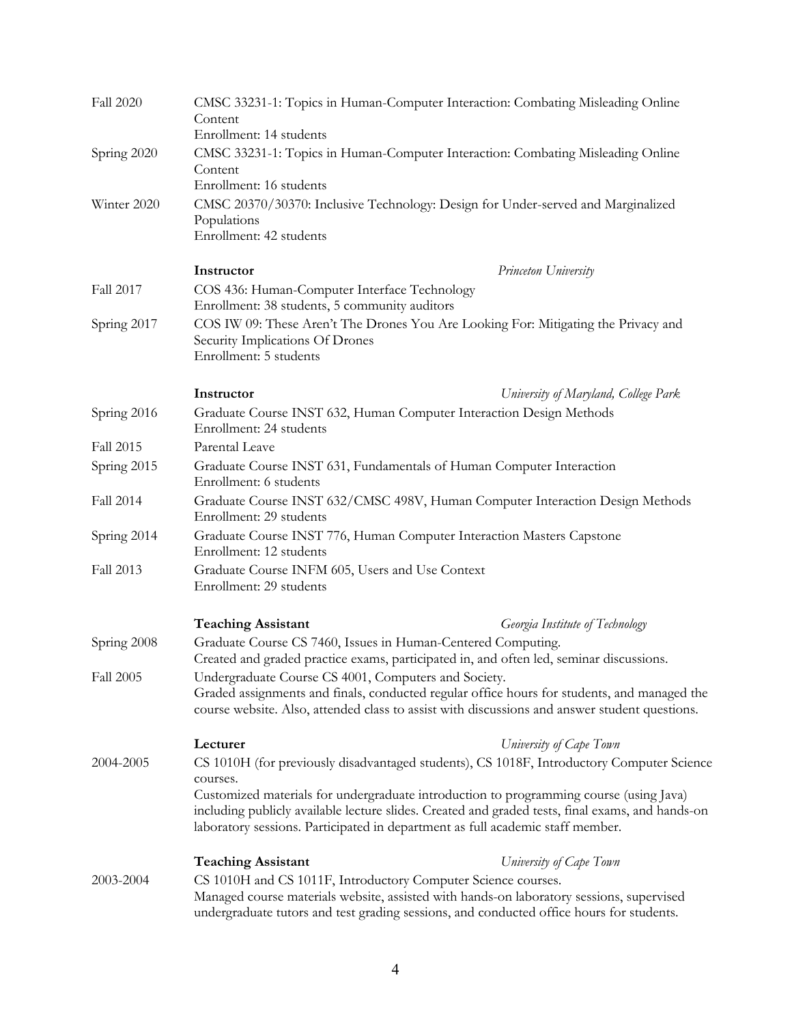| Fall 2020        | CMSC 33231-1: Topics in Human-Computer Interaction: Combating Misleading Online<br>Content<br>Enrollment: 14 students                                 |                                                                                                                                                                                                                                                                              |
|------------------|-------------------------------------------------------------------------------------------------------------------------------------------------------|------------------------------------------------------------------------------------------------------------------------------------------------------------------------------------------------------------------------------------------------------------------------------|
| Spring 2020      | CMSC 33231-1: Topics in Human-Computer Interaction: Combating Misleading Online<br>Content                                                            |                                                                                                                                                                                                                                                                              |
| Winter 2020      | Enrollment: 16 students<br>CMSC 20370/30370: Inclusive Technology: Design for Under-served and Marginalized<br>Populations<br>Enrollment: 42 students |                                                                                                                                                                                                                                                                              |
|                  | Instructor                                                                                                                                            | Princeton University                                                                                                                                                                                                                                                         |
| Fall 2017        | COS 436: Human-Computer Interface Technology<br>Enrollment: 38 students, 5 community auditors                                                         |                                                                                                                                                                                                                                                                              |
| Spring 2017      | Security Implications Of Drones<br>Enrollment: 5 students                                                                                             | COS IW 09: These Aren't The Drones You Are Looking For: Mitigating the Privacy and                                                                                                                                                                                           |
|                  | Instructor                                                                                                                                            | University of Maryland, College Park                                                                                                                                                                                                                                         |
| Spring 2016      | Enrollment: 24 students                                                                                                                               | Graduate Course INST 632, Human Computer Interaction Design Methods                                                                                                                                                                                                          |
| <b>Fall 2015</b> | Parental Leave                                                                                                                                        |                                                                                                                                                                                                                                                                              |
| Spring 2015      | Graduate Course INST 631, Fundamentals of Human Computer Interaction<br>Enrollment: 6 students                                                        |                                                                                                                                                                                                                                                                              |
| Fall 2014        | Graduate Course INST 632/CMSC 498V, Human Computer Interaction Design Methods<br>Enrollment: 29 students                                              |                                                                                                                                                                                                                                                                              |
| Spring 2014      | Graduate Course INST 776, Human Computer Interaction Masters Capstone<br>Enrollment: 12 students                                                      |                                                                                                                                                                                                                                                                              |
| Fall 2013        | Graduate Course INFM 605, Users and Use Context<br>Enrollment: 29 students                                                                            |                                                                                                                                                                                                                                                                              |
|                  | <b>Teaching Assistant</b>                                                                                                                             | Georgia Institute of Technology                                                                                                                                                                                                                                              |
| Spring 2008      | Graduate Course CS 7460, Issues in Human-Centered Computing.                                                                                          | Created and graded practice exams, participated in, and often led, seminar discussions.                                                                                                                                                                                      |
| <b>Fall 2005</b> | Undergraduate Course CS 4001, Computers and Society.                                                                                                  | Graded assignments and finals, conducted regular office hours for students, and managed the<br>course website. Also, attended class to assist with discussions and answer student questions.                                                                                 |
|                  | Lecturer                                                                                                                                              | University of Cape Town                                                                                                                                                                                                                                                      |
| 2004-2005        | courses.                                                                                                                                              | CS 1010H (for previously disadvantaged students), CS 1018F, Introductory Computer Science                                                                                                                                                                                    |
|                  |                                                                                                                                                       | Customized materials for undergraduate introduction to programming course (using Java)<br>including publicly available lecture slides. Created and graded tests, final exams, and hands-on<br>laboratory sessions. Participated in department as full academic staff member. |
|                  | <b>Teaching Assistant</b>                                                                                                                             | University of Cape Town                                                                                                                                                                                                                                                      |
| 2003-2004        | CS 1010H and CS 1011F, Introductory Computer Science courses.                                                                                         | Managed course materials website, assisted with hands-on laboratory sessions, supervised<br>undergraduate tutors and test grading sessions, and conducted office hours for students.                                                                                         |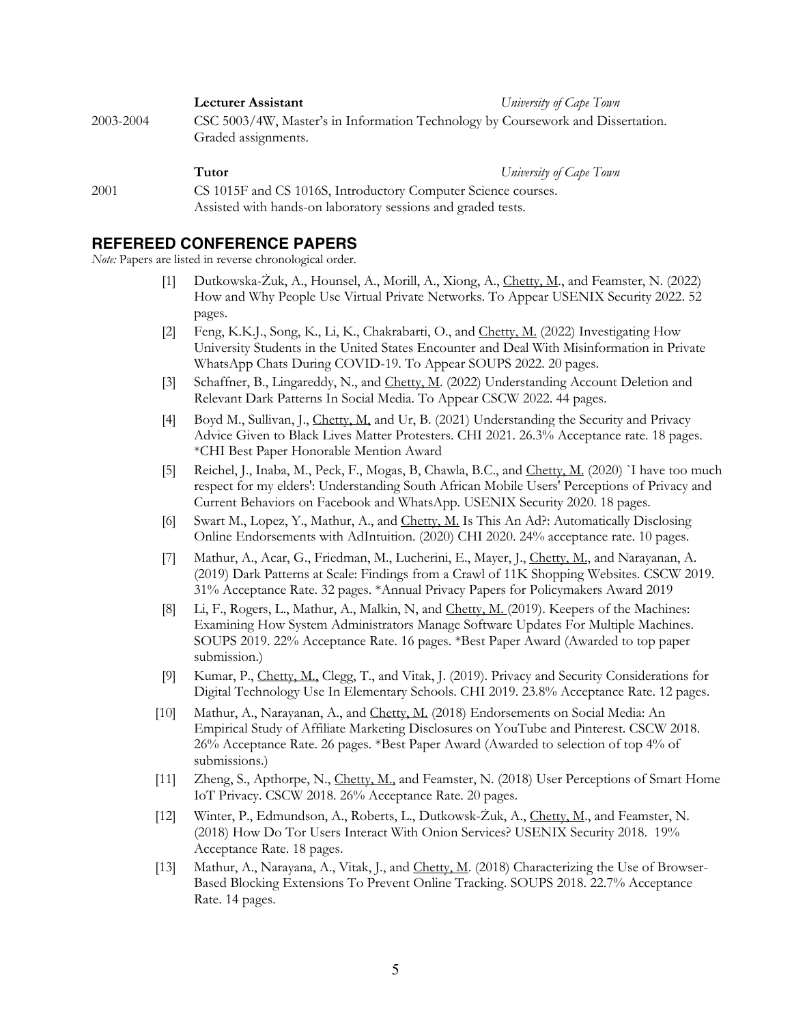**Lecturer Assistant** *University of Cape Town*

2003-2004 CSC 5003/4W, Master's in Information Technology by Coursework and Dissertation. Graded assignments.

**Tutor** *University of Cape Town*

2001 CS 1015F and CS 1016S, Introductory Computer Science courses. Assisted with hands-on laboratory sessions and graded tests.

# **REFEREED CONFERENCE PAPERS**

*Note:* Papers are listed in reverse chronological order.

- [1] Dutkowska-Żuk, A., Hounsel, A., Morill, A., Xiong, A., Chetty, M., and Feamster, N. (2022) How and Why People Use Virtual Private Networks. To Appear USENIX Security 2022. 52 pages.
- [2] Feng, K.K.J., Song, K., Li, K., Chakrabarti, O., and Chetty, M. (2022) Investigating How University Students in the United States Encounter and Deal With Misinformation in Private WhatsApp Chats During COVID-19. To Appear SOUPS 2022. 20 pages.
- [3] Schaffner, B., Lingareddy, N., and Chetty, M. (2022) Understanding Account Deletion and Relevant Dark Patterns In Social Media. To Appear CSCW 2022. 44 pages.
- [4] Boyd M., Sullivan, J., Chetty, M, and Ur, B. (2021) Understanding the Security and Privacy Advice Given to Black Lives Matter Protesters. CHI 2021. 26.3% Acceptance rate. 18 pages. \*CHI Best Paper Honorable Mention Award
- [5] Reichel, J., Inaba, M., Peck, F., Mogas, B, Chawla, B.C., and Chetty, M. (2020) `I have too much respect for my elders': Understanding South African Mobile Users' Perceptions of Privacy and Current Behaviors on Facebook and WhatsApp. USENIX Security 2020. 18 pages.
- [6] Swart M., Lopez, Y., Mathur, A., and Chetty, M. Is This An Ad?: Automatically Disclosing Online Endorsements with AdIntuition. (2020) CHI 2020. 24% acceptance rate. 10 pages.
- [7] Mathur, A., Acar, G., Friedman, M., Lucherini, E., Mayer, J., Chetty, M., and Narayanan, A. (2019) Dark Patterns at Scale: Findings from a Crawl of 11K Shopping Websites. CSCW 2019. 31% Acceptance Rate. 32 pages. \*Annual Privacy Papers for Policymakers Award 2019
- [8] Li, F., Rogers, L., Mathur, A., Malkin, N, and Chetty, M. (2019). Keepers of the Machines: Examining How System Administrators Manage Software Updates For Multiple Machines. SOUPS 2019. 22% Acceptance Rate. 16 pages. \*Best Paper Award (Awarded to top paper submission.)
- [9] Kumar, P., Chetty, M., Clegg, T., and Vitak, J. (2019). Privacy and Security Considerations for Digital Technology Use In Elementary Schools. CHI 2019. 23.8% Acceptance Rate. 12 pages.
- [10] Mathur, A., Narayanan, A., and Chetty, M. (2018) Endorsements on Social Media: An Empirical Study of Affiliate Marketing Disclosures on YouTube and Pinterest. CSCW 2018. 26% Acceptance Rate. 26 pages. \*Best Paper Award (Awarded to selection of top 4% of submissions.)
- [11] Zheng, S., Apthorpe, N., Chetty, M., and Feamster, N. (2018) User Perceptions of Smart Home IoT Privacy. CSCW 2018. 26% Acceptance Rate. 20 pages.
- [12] Winter, P., Edmundson, A., Roberts, L., Dutkowsk-Żuk, A., Chetty, M., and Feamster, N. (2018) How Do Tor Users Interact With Onion Services? USENIX Security 2018. 19% Acceptance Rate. 18 pages.
- [13] Mathur, A., Narayana, A., Vitak, J., and Chetty, M. (2018) Characterizing the Use of Browser-Based Blocking Extensions To Prevent Online Tracking. SOUPS 2018. 22.7% Acceptance Rate. 14 pages.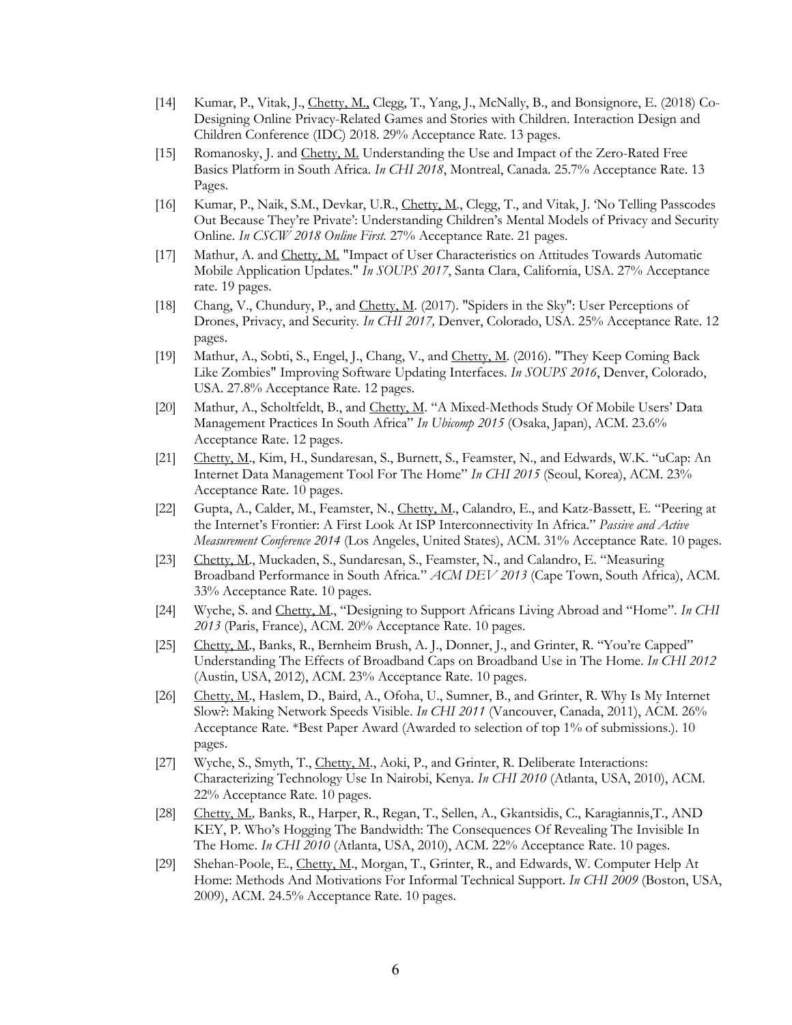- [14] Kumar, P., Vitak, J., Chetty, M., Clegg, T., Yang, J., McNally, B., and Bonsignore, E. (2018) Co-Designing Online Privacy-Related Games and Stories with Children. Interaction Design and Children Conference (IDC) 2018. 29% Acceptance Rate. 13 pages.
- [15] Romanosky, J. and Chetty, M. Understanding the Use and Impact of the Zero-Rated Free Basics Platform in South Africa. *In CHI 2018*, Montreal, Canada. 25.7% Acceptance Rate. 13 Pages.
- [16] Kumar, P., Naik, S.M., Devkar, U.R., Chetty, M., Clegg, T., and Vitak, J. 'No Telling Passcodes Out Because They're Private': Understanding Children's Mental Models of Privacy and Security Online. *In CSCW 2018 Online First.* 27% Acceptance Rate. 21 pages.
- [17] Mathur, A. and Chetty, M. "Impact of User Characteristics on Attitudes Towards Automatic Mobile Application Updates." *In SOUPS 2017*, Santa Clara, California, USA. 27% Acceptance rate. 19 pages.
- [18] Chang, V., Chundury, P., and Chetty, M. (2017). "Spiders in the Sky": User Perceptions of Drones, Privacy, and Security*. In CHI 2017,* Denver, Colorado, USA. 25% Acceptance Rate. 12 pages.
- [19] Mathur, A., Sobti, S., Engel, J., Chang, V., and Chetty, M. (2016). "They Keep Coming Back Like Zombies" Improving Software Updating Interfaces. *In SOUPS 2016*, Denver, Colorado, USA. 27.8% Acceptance Rate. 12 pages.
- [20] Mathur, A., Scholtfeldt, B., and Chetty, M. "A Mixed-Methods Study Of Mobile Users' Data Management Practices In South Africa" *In Ubicomp 2015* (Osaka, Japan), ACM. 23.6% Acceptance Rate. 12 pages.
- [21] Chetty, M., Kim, H., Sundaresan, S., Burnett, S., Feamster, N., and Edwards, W.K. "uCap: An Internet Data Management Tool For The Home" *In CHI 2015* (Seoul, Korea), ACM. 23% Acceptance Rate. 10 pages.
- [22] Gupta, A., Calder, M., Feamster, N., Chetty, M., Calandro, E., and Katz-Bassett, E. "Peering at the Internet's Frontier: A First Look At ISP Interconnectivity In Africa." *Passive and Active Measurement Conference 2014* (Los Angeles, United States), ACM. 31% Acceptance Rate. 10 pages.
- [23] Chetty, M., Muckaden, S., Sundaresan, S., Feamster, N., and Calandro, E. "Measuring Broadband Performance in South Africa." *ACM DEV 2013* (Cape Town, South Africa), ACM. 33% Acceptance Rate. 10 pages.
- [24] Wyche, S. and Chetty, M., "Designing to Support Africans Living Abroad and "Home". *In CHI 2013* (Paris, France), ACM. 20% Acceptance Rate. 10 pages.
- [25] Chetty, M., Banks, R., Bernheim Brush, A. J., Donner, J., and Grinter, R. "You're Capped" Understanding The Effects of Broadband Caps on Broadband Use in The Home. *In CHI 2012* (Austin, USA, 2012), ACM. 23% Acceptance Rate. 10 pages.
- [26] Chetty, M., Haslem, D., Baird, A., Ofoha, U., Sumner, B., and Grinter, R. Why Is My Internet Slow?: Making Network Speeds Visible. *In CHI 2011* (Vancouver, Canada, 2011), ACM. 26% Acceptance Rate. \*Best Paper Award (Awarded to selection of top 1% of submissions.). 10 pages.
- [27] Wyche, S., Smyth, T., Chetty, M., Aoki, P., and Grinter, R. Deliberate Interactions: Characterizing Technology Use In Nairobi, Kenya. *In CHI 2010* (Atlanta, USA, 2010), ACM. 22% Acceptance Rate. 10 pages.
- [28] Chetty, M*.,* Banks, R., Harper, R., Regan, T., Sellen, A., Gkantsidis, C., Karagiannis,T., AND KEY, P. Who's Hogging The Bandwidth: The Consequences Of Revealing The Invisible In The Home. *In CHI 2010* (Atlanta, USA, 2010), ACM. 22% Acceptance Rate. 10 pages.
- [29] Shehan-Poole, E., Chetty, M., Morgan, T., Grinter, R., and Edwards, W. Computer Help At Home: Methods And Motivations For Informal Technical Support. *In CHI 2009* (Boston, USA, 2009), ACM. 24.5% Acceptance Rate. 10 pages.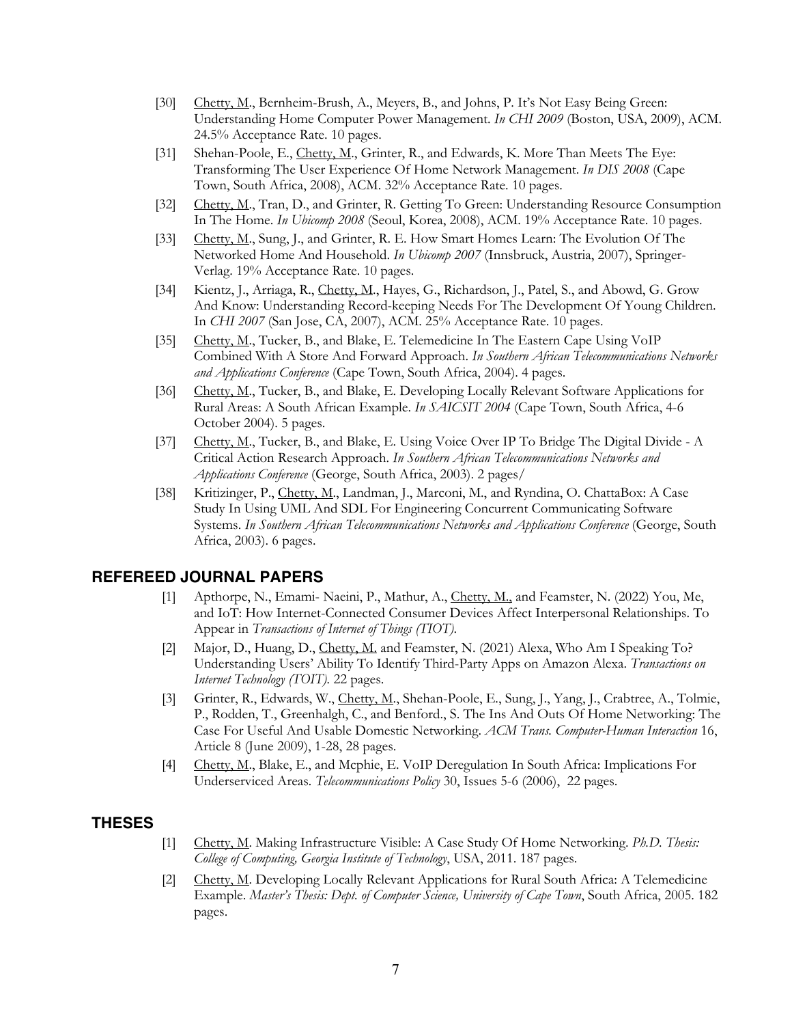- [30] Chetty, M., Bernheim-Brush, A., Meyers, B., and Johns, P. It's Not Easy Being Green: Understanding Home Computer Power Management. *In CHI 2009* (Boston, USA, 2009), ACM. 24.5% Acceptance Rate. 10 pages.
- [31] Shehan-Poole, E., Chetty, M., Grinter, R., and Edwards, K. More Than Meets The Eye: Transforming The User Experience Of Home Network Management. *In DIS 2008* (Cape Town, South Africa, 2008), ACM. 32% Acceptance Rate. 10 pages.
- [32] Chetty, M., Tran, D., and Grinter, R. Getting To Green: Understanding Resource Consumption In The Home. *In Ubicomp 2008* (Seoul, Korea, 2008), ACM. 19% Acceptance Rate. 10 pages.
- [33] Chetty, M., Sung, J., and Grinter, R. E. How Smart Homes Learn: The Evolution Of The Networked Home And Household. *In Ubicomp 2007* (Innsbruck, Austria, 2007), Springer-Verlag. 19% Acceptance Rate. 10 pages.
- [34] Kientz, J., Arriaga, R., Chetty, M., Hayes, G., Richardson, J., Patel, S., and Abowd, G. Grow And Know: Understanding Record-keeping Needs For The Development Of Young Children. In *CHI 2007* (San Jose, CA, 2007), ACM. 25% Acceptance Rate. 10 pages.
- [35] Chetty, M., Tucker, B., and Blake, E. Telemedicine In The Eastern Cape Using VoIP Combined With A Store And Forward Approach. *In Southern African Telecommunications Networks and Applications Conference* (Cape Town, South Africa, 2004). 4 pages.
- [36] Chetty, M., Tucker, B., and Blake, E. Developing Locally Relevant Software Applications for Rural Areas: A South African Example. *In SAICSIT 2004* (Cape Town, South Africa, 4-6 October 2004). 5 pages.
- [37] Chetty, M., Tucker, B., and Blake, E. Using Voice Over IP To Bridge The Digital Divide A Critical Action Research Approach. *In Southern African Telecommunications Networks and Applications Conference* (George, South Africa, 2003). 2 pages/
- [38] Kritizinger, P., Chetty, M., Landman, J., Marconi, M., and Ryndina, O. ChattaBox: A Case Study In Using UML And SDL For Engineering Concurrent Communicating Software Systems. *In Southern African Telecommunications Networks and Applications Conference* (George, South Africa, 2003). 6 pages.

## **REFEREED JOURNAL PAPERS**

- [1] Apthorpe, N., Emami- Naeini, P., Mathur, A., Chetty, M., and Feamster, N. (2022) You, Me, and IoT: How Internet-Connected Consumer Devices Affect Interpersonal Relationships. To Appear in *Transactions of Internet of Things (TIOT)*.
- [2] Major, D., Huang, D., Chetty, M. and Feamster, N. (2021) Alexa, Who Am I Speaking To? Understanding Users' Ability To Identify Third-Party Apps on Amazon Alexa. *Transactions on Internet Technology (TOIT).* 22 pages.
- [3] Grinter, R., Edwards, W., Chetty, M., Shehan-Poole, E., Sung, J., Yang, J., Crabtree, A., Tolmie, P., Rodden, T., Greenhalgh, C., and Benford., S. The Ins And Outs Of Home Networking: The Case For Useful And Usable Domestic Networking. *ACM Trans. Computer-Human Interaction* 16, Article 8 (June 2009), 1-28, 28 pages.
- [4] Chetty, M., Blake, E., and Mcphie, E. VoIP Deregulation In South Africa: Implications For Underserviced Areas*. Telecommunications Policy* 30, Issues 5-6 (2006), 22 pages.

#### **THESES**

- [1] Chetty, M. Making Infrastructure Visible: A Case Study Of Home Networking. *Ph.D. Thesis: College of Computing, Georgia Institute of Technology*, USA, 2011. 187 pages.
- [2] Chetty, M. Developing Locally Relevant Applications for Rural South Africa: A Telemedicine Example. *Master's Thesis: Dept. of Computer Science, University of Cape Town*, South Africa, 2005. 182 pages.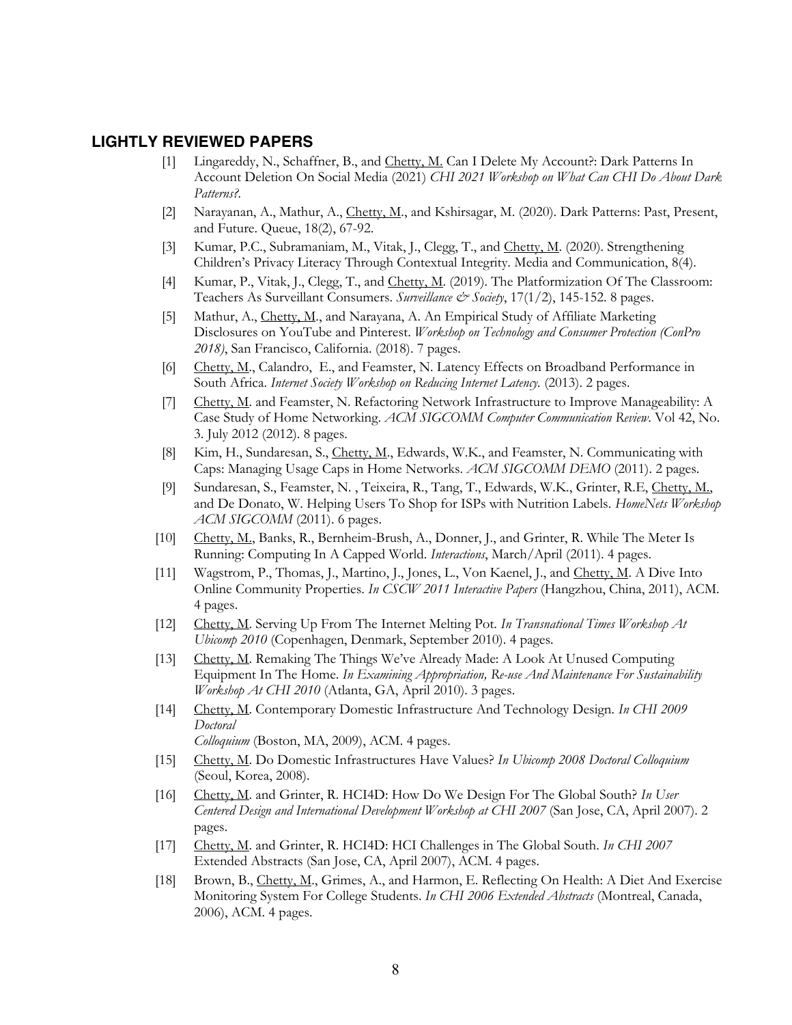## **LIGHTLY REVIEWED PAPERS**

- [1] Lingareddy, N., Schaffner, B., and Chetty, M. Can I Delete My Account?: Dark Patterns In Account Deletion On Social Media (2021) *CHI 2021 Workshop on What Can CHI Do About Dark Patterns?.*
- [2] Narayanan, A., Mathur, A., Chetty, M., and Kshirsagar, M. (2020). Dark Patterns: Past, Present, and Future. Queue, 18(2), 67-92.
- [3] Kumar, P.C., Subramaniam, M., Vitak, J., Clegg, T., and Chetty, M. (2020). Strengthening Children's Privacy Literacy Through Contextual Integrity. Media and Communication, 8(4).
- [4] Kumar, P., Vitak, J., Clegg, T., and Chetty, M. (2019). The Platformization Of The Classroom: Teachers As Surveillant Consumers. *Surveillance & Society*, 17(1/2), 145-152. 8 pages.
- [5] Mathur, A., Chetty, M., and Narayana, A. An Empirical Study of Affiliate Marketing Disclosures on YouTube and Pinterest. *Workshop on Technology and Consumer Protection (ConPro 2018)*, San Francisco, California. (2018). 7 pages.
- [6] Chetty, M., Calandro, E., and Feamster, N. Latency Effects on Broadband Performance in South Africa. *Internet Society Workshop on Reducing Internet Latency*. (2013). 2 pages.
- [7] Chetty, M. and Feamster, N. Refactoring Network Infrastructure to Improve Manageability: A Case Study of Home Networking. *ACM SIGCOMM Computer Communication Review*. Vol 42, No. 3. July 2012 (2012). 8 pages.
- [8] Kim, H., Sundaresan, S., Chetty, M., Edwards, W.K., and Feamster, N. Communicating with Caps: Managing Usage Caps in Home Networks. *ACM SIGCOMM DEMO* (2011). 2 pages.
- [9] Sundaresan, S., Feamster, N. , Teixeira, R., Tang, T., Edwards, W.K., Grinter, R.E, Chetty, M., and De Donato, W. Helping Users To Shop for ISPs with Nutrition Labels. *HomeNets Workshop ACM SIGCOMM* (2011). 6 pages.
- [10] Chetty, M., Banks, R., Bernheim-Brush, A., Donner, J., and Grinter, R. While The Meter Is Running: Computing In A Capped World. *Interactions*, March/April (2011). 4 pages.
- [11] Wagstrom, P., Thomas, J., Martino, J., Jones, L., Von Kaenel, J., and Chetty, M. A Dive Into Online Community Properties. *In CSCW 2011 Interactive Papers* (Hangzhou, China, 2011), ACM. 4 pages.
- [12] Chetty, M. Serving Up From The Internet Melting Pot. *In Transnational Times Workshop At Ubicomp 2010* (Copenhagen, Denmark, September 2010). 4 pages.
- [13] Chetty, M. Remaking The Things We've Already Made: A Look At Unused Computing Equipment In The Home. *In Examining Appropriation, Re-use And Maintenance For Sustainability Workshop At CHI 2010* (Atlanta, GA, April 2010). 3 pages.
- [14] Chetty, M. Contemporary Domestic Infrastructure And Technology Design*. In CHI 2009 Doctoral*

*Colloquium* (Boston, MA, 2009), ACM. 4 pages.

- [15] Chetty, M. Do Domestic Infrastructures Have Values? *In Ubicomp 2008 Doctoral Colloquium* (Seoul, Korea, 2008).
- [16] Chetty, M. and Grinter, R. HCI4D: How Do We Design For The Global South? *In User Centered Design and International Development Workshop at CHI 2007* (San Jose, CA, April 2007). 2 pages.
- [17] Chetty, M. and Grinter, R. HCI4D: HCI Challenges in The Global South. *In CHI 2007* Extended Abstracts (San Jose, CA, April 2007), ACM. 4 pages.
- [18] Brown, B., Chetty, M., Grimes, A., and Harmon, E. Reflecting On Health: A Diet And Exercise Monitoring System For College Students. *In CHI 2006 Extended Abstracts* (Montreal, Canada, 2006), ACM. 4 pages.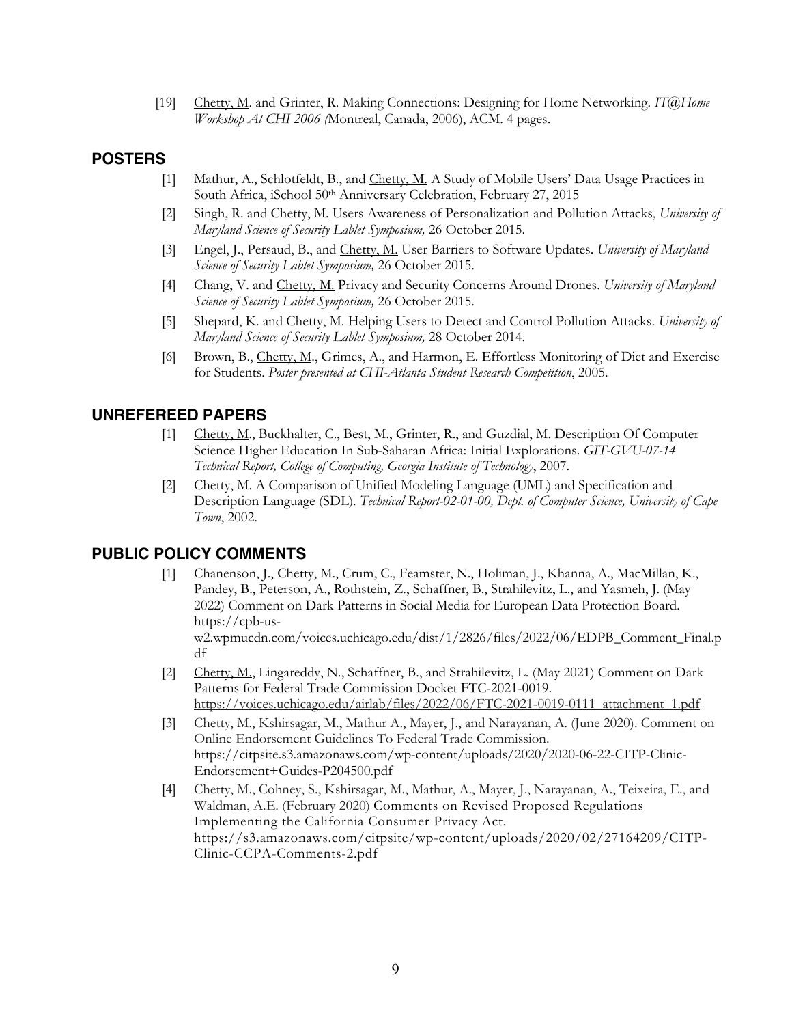[19] Chetty, M. and Grinter, R. Making Connections: Designing for Home Networking. *IT@Home Workshop At CHI 2006 (*Montreal, Canada, 2006), ACM. 4 pages.

## **POSTERS**

- [1] Mathur, A., Schlotfeldt, B., and Chetty, M. A Study of Mobile Users' Data Usage Practices in South Africa, iSchool 50th Anniversary Celebration, February 27, 2015
- [2] Singh, R. and Chetty, M. Users Awareness of Personalization and Pollution Attacks, *University of Maryland Science of Security Lablet Symposium,* 26 October 2015.
- [3] Engel, J., Persaud, B., and Chetty, M. User Barriers to Software Updates. *University of Maryland Science of Security Lablet Symposium,* 26 October 2015.
- [4] Chang, V. and Chetty, M. Privacy and Security Concerns Around Drones. *University of Maryland Science of Security Lablet Symposium,* 26 October 2015.
- [5] Shepard, K. and Chetty, M. Helping Users to Detect and Control Pollution Attacks. *University of Maryland Science of Security Lablet Symposium,* 28 October 2014.
- [6] Brown, B., Chetty, M., Grimes, A., and Harmon, E. Effortless Monitoring of Diet and Exercise for Students. *Poster presented at CHI-Atlanta Student Research Competition*, 2005.

## **UNREFEREED PAPERS**

- [1] Chetty, M., Buckhalter, C., Best, M., Grinter, R., and Guzdial, M. Description Of Computer Science Higher Education In Sub-Saharan Africa: Initial Explorations. *GIT-GVU-07-14 Technical Report, College of Computing, Georgia Institute of Technology*, 2007.
- [2] Chetty, M. A Comparison of Unified Modeling Language (UML) and Specification and Description Language (SDL). *Technical Report-02-01-00, Dept. of Computer Science, University of Cape Town*, 2002.

#### **PUBLIC POLICY COMMENTS**

[1] Chanenson, J., Chetty, M., Crum, C., Feamster, N., Holiman, J., Khanna, A., MacMillan, K., Pandey, B., Peterson, A., Rothstein, Z., Schaffner, B., Strahilevitz, L., and Yasmeh, J. (May 2022) Comment on Dark Patterns in Social Media for European Data Protection Board. https://cpb-us-

w2.wpmucdn.com/voices.uchicago.edu/dist/1/2826/files/2022/06/EDPB\_Comment\_Final.p df

- [2] Chetty, M., Lingareddy, N., Schaffner, B., and Strahilevitz, L. (May 2021) Comment on Dark Patterns for Federal Trade Commission Docket FTC-2021-0019. https://voices.uchicago.edu/airlab/files/2022/06/FTC-2021-0019-0111\_attachment\_1.pdf
- [3] Chetty, M., Kshirsagar, M., Mathur A., Mayer, J., and Narayanan, A. (June 2020). Comment on Online Endorsement Guidelines To Federal Trade Commission. https://citpsite.s3.amazonaws.com/wp-content/uploads/2020/2020-06-22-CITP-Clinic-Endorsement+Guides-P204500.pdf
- [4] Chetty, M., Cohney, S., Kshirsagar, M., Mathur, A., Mayer, J., Narayanan, A., Teixeira, E., and Waldman, A.E. (February 2020) Comments on Revised Proposed Regulations Implementing the California Consumer Privacy Act. https://s3.amazonaws.com/citpsite/wp-content/uploads/2020/02/27164209/CITP-Clinic-CCPA-Comments-2.pdf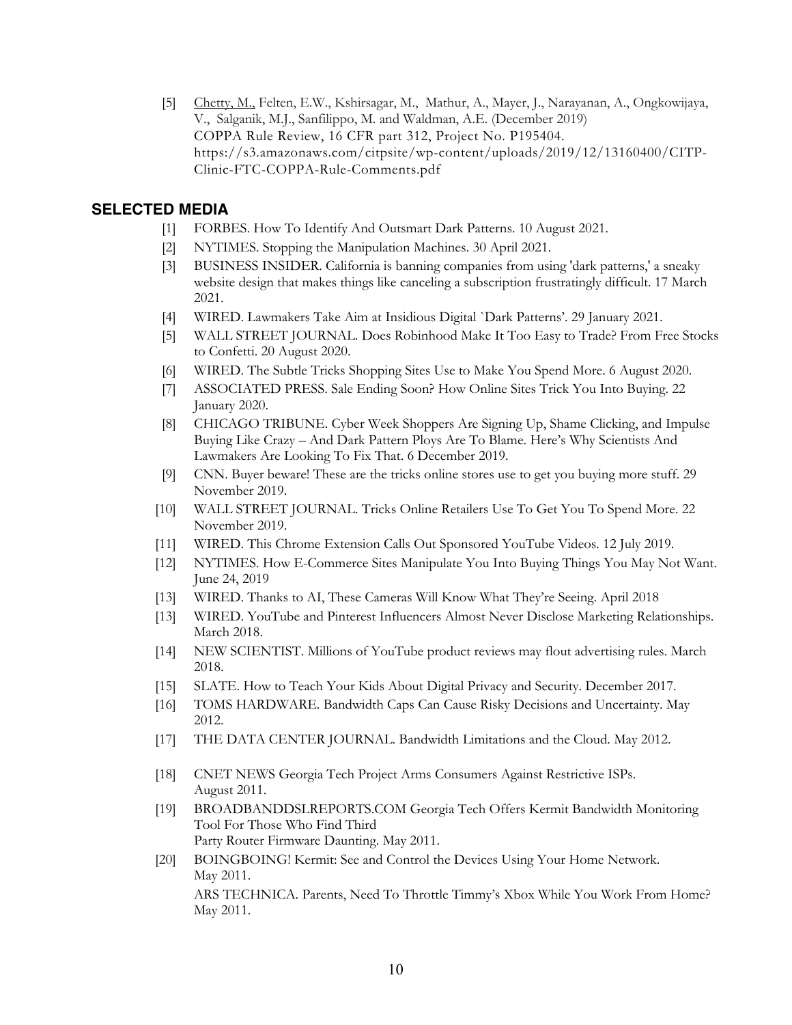[5] Chetty, M., Felten, E.W., Kshirsagar, M., Mathur, A., Mayer, J., Narayanan, A., Ongkowijaya, V., Salganik, M.J., Sanfilippo, M. and Waldman, A.E. (December 2019) COPPA Rule Review, 16 CFR part 312, Project No. P195404. https://s3.amazonaws.com/citpsite/wp-content/uploads/2019/12/13160400/CITP-Clinic-FTC-COPPA-Rule-Comments.pdf

# **SELECTED MEDIA**

- [1] FORBES. How To Identify And Outsmart Dark Patterns. 10 August 2021.
- [2] NYTIMES. Stopping the Manipulation Machines. 30 April 2021.
- [3] BUSINESS INSIDER. California is banning companies from using 'dark patterns,' a sneaky website design that makes things like canceling a subscription frustratingly difficult. 17 March 2021.
- [4] WIRED. Lawmakers Take Aim at Insidious Digital `Dark Patterns'. 29 January 2021.
- [5] WALL STREET JOURNAL. Does Robinhood Make It Too Easy to Trade? From Free Stocks to Confetti. 20 August 2020.
- [6] WIRED. The Subtle Tricks Shopping Sites Use to Make You Spend More. 6 August 2020.
- [7] ASSOCIATED PRESS. Sale Ending Soon? How Online Sites Trick You Into Buying. 22 January 2020.
- [8] CHICAGO TRIBUNE. Cyber Week Shoppers Are Signing Up, Shame Clicking, and Impulse Buying Like Crazy – And Dark Pattern Ploys Are To Blame. Here's Why Scientists And Lawmakers Are Looking To Fix That. 6 December 2019.
- [9] CNN. Buyer beware! These are the tricks online stores use to get you buying more stuff. 29 November 2019.
- [10] WALL STREET JOURNAL. Tricks Online Retailers Use To Get You To Spend More. 22 November 2019.
- [11] WIRED. This Chrome Extension Calls Out Sponsored YouTube Videos. 12 July 2019.
- [12] NYTIMES. How E-Commerce Sites Manipulate You Into Buying Things You May Not Want. June 24, 2019
- [13] WIRED. Thanks to AI, These Cameras Will Know What They're Seeing. April 2018
- [13] WIRED. YouTube and Pinterest Influencers Almost Never Disclose Marketing Relationships. March 2018.
- [14] NEW SCIENTIST. Millions of YouTube product reviews may flout advertising rules. March 2018.
- [15] SLATE. How to Teach Your Kids About Digital Privacy and Security. December 2017.
- [16] TOMS HARDWARE. Bandwidth Caps Can Cause Risky Decisions and Uncertainty. May 2012.
- [17] THE DATA CENTER JOURNAL. Bandwidth Limitations and the Cloud. May 2012.
- [18] CNET NEWS Georgia Tech Project Arms Consumers Against Restrictive ISPs. August 2011.
- [19] BROADBANDDSLREPORTS.COM Georgia Tech Offers Kermit Bandwidth Monitoring Tool For Those Who Find Third Party Router Firmware Daunting. May 2011.
- [20] BOINGBOING! Kermit: See and Control the Devices Using Your Home Network. May 2011. ARS TECHNICA. Parents, Need To Throttle Timmy's Xbox While You Work From Home? May 2011.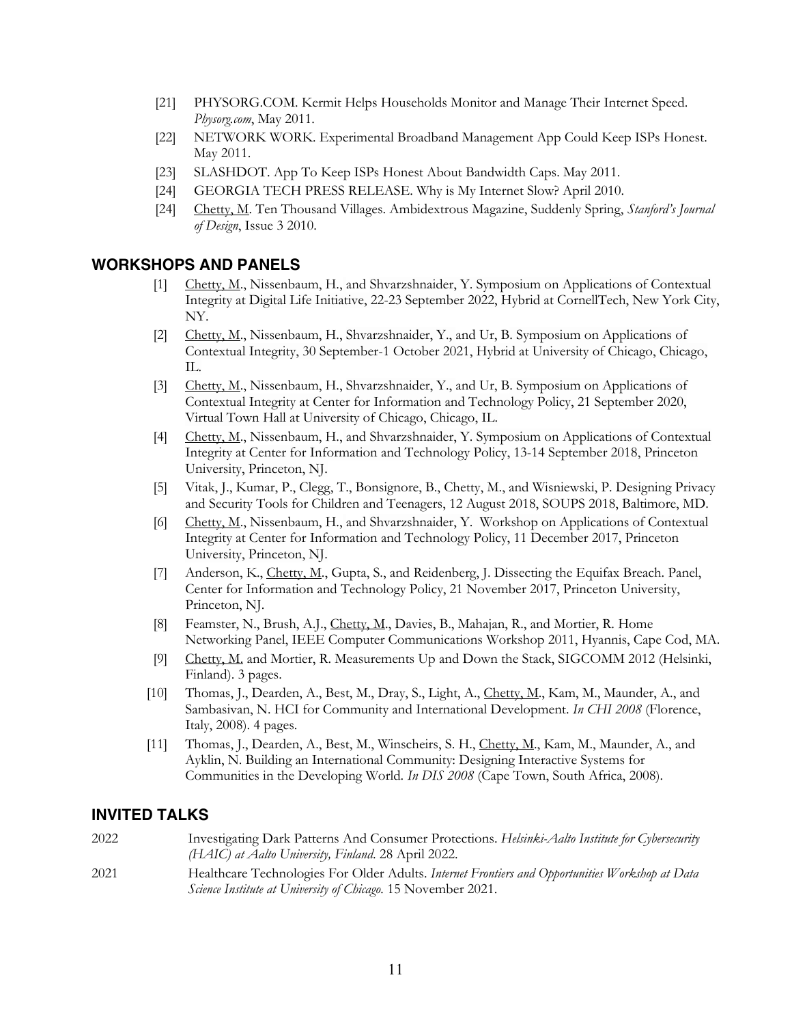- [21] PHYSORG.COM. Kermit Helps Households Monitor and Manage Their Internet Speed. *Physorg.com*, May 2011.
- [22] NETWORK WORK. Experimental Broadband Management App Could Keep ISPs Honest. May 2011.
- [23] SLASHDOT. App To Keep ISPs Honest About Bandwidth Caps. May 2011.
- [24] GEORGIA TECH PRESS RELEASE. Why is My Internet Slow? April 2010.
- [24] Chetty, M. Ten Thousand Villages. Ambidextrous Magazine, Suddenly Spring, *Stanford's Journal of Design*, Issue 3 2010.

## **WORKSHOPS AND PANELS**

- [1] Chetty, M., Nissenbaum, H., and Shvarzshnaider, Y. Symposium on Applications of Contextual Integrity at Digital Life Initiative, 22-23 September 2022, Hybrid at CornellTech, New York City, NY.
- [2] Chetty, M., Nissenbaum, H., Shvarzshnaider, Y., and Ur, B. Symposium on Applications of Contextual Integrity, 30 September-1 October 2021, Hybrid at University of Chicago, Chicago, IL.
- [3] Chetty, M., Nissenbaum, H., Shvarzshnaider, Y., and Ur, B. Symposium on Applications of Contextual Integrity at Center for Information and Technology Policy, 21 September 2020, Virtual Town Hall at University of Chicago, Chicago, IL.
- [4] Chetty, M., Nissenbaum, H., and Shvarzshnaider, Y. Symposium on Applications of Contextual Integrity at Center for Information and Technology Policy, 13-14 September 2018, Princeton University, Princeton, NJ.
- [5] Vitak, J., Kumar, P., Clegg, T., Bonsignore, B., Chetty, M., and Wisniewski, P. Designing Privacy and Security Tools for Children and Teenagers, 12 August 2018, SOUPS 2018, Baltimore, MD.
- [6] Chetty, M., Nissenbaum, H., and Shvarzshnaider, Y. Workshop on Applications of Contextual Integrity at Center for Information and Technology Policy, 11 December 2017, Princeton University, Princeton, NJ.
- [7] Anderson, K., Chetty, M., Gupta, S., and Reidenberg, J. Dissecting the Equifax Breach. Panel, Center for Information and Technology Policy, 21 November 2017, Princeton University, Princeton, NJ.
- [8] Feamster, N., Brush, A.J., Chetty, M., Davies, B., Mahajan, R., and Mortier, R. Home Networking Panel, IEEE Computer Communications Workshop 2011, Hyannis, Cape Cod, MA.
- [9] Chetty, M. and Mortier, R. Measurements Up and Down the Stack, SIGCOMM 2012 (Helsinki, Finland). 3 pages.
- [10] Thomas, J., Dearden, A., Best, M., Dray, S., Light, A., Chetty, M., Kam, M., Maunder, A., and Sambasivan, N. HCI for Community and International Development. *In CHI 2008* (Florence, Italy, 2008). 4 pages.
- [11] Thomas, J., Dearden, A., Best, M., Winscheirs, S. H., Chetty, M., Kam, M., Maunder, A., and Ayklin, N. Building an International Community: Designing Interactive Systems for Communities in the Developing World. *In DIS 2008* (Cape Town, South Africa, 2008).

#### **INVITED TALKS**

2022 Investigating Dark Patterns And Consumer Protections. *Helsinki-Aalto Institute for Cybersecurity (HAIC) at Aalto University, Finland*. 28 April 2022. 2021 Healthcare Technologies For Older Adults. *Internet Frontiers and Opportunities Workshop at Data Science Institute at University of Chicago.* 15 November 2021.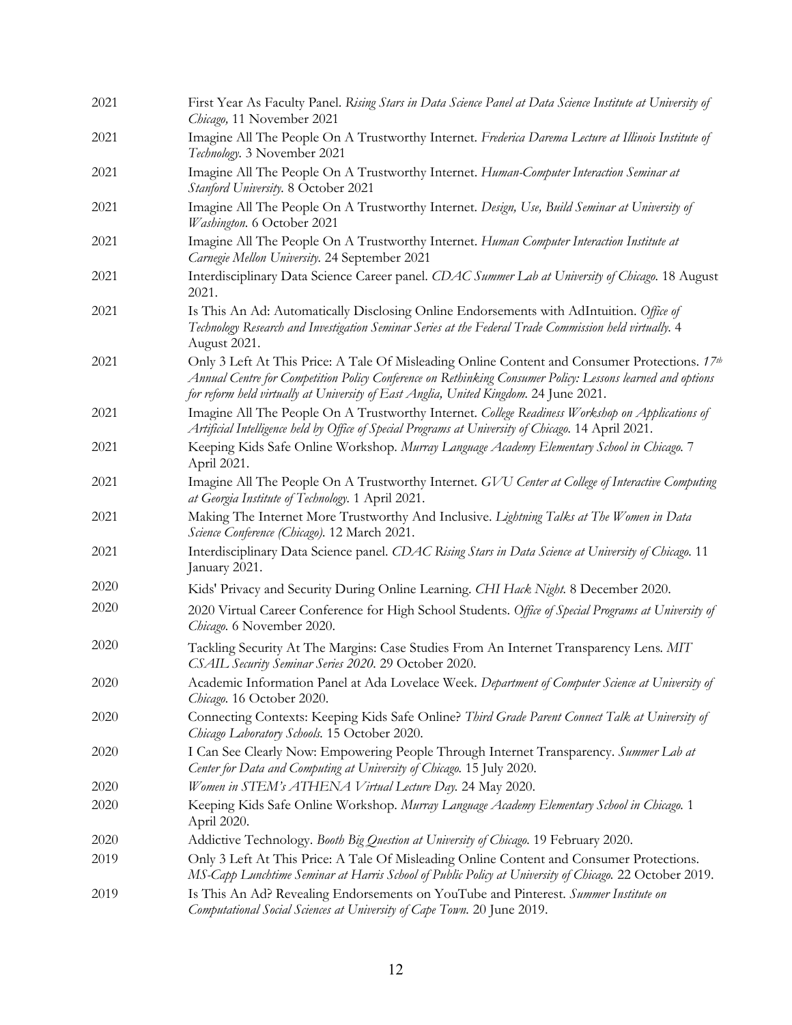| 2021 | First Year As Faculty Panel. Rising Stars in Data Science Panel at Data Science Institute at University of<br>Chicago, 11 November 2021                                                                                                                                                              |
|------|------------------------------------------------------------------------------------------------------------------------------------------------------------------------------------------------------------------------------------------------------------------------------------------------------|
| 2021 | Imagine All The People On A Trustworthy Internet. Frederica Darema Lecture at Illinois Institute of<br>Technology. 3 November 2021                                                                                                                                                                   |
| 2021 | Imagine All The People On A Trustworthy Internet. Human-Computer Interaction Seminar at<br>Stanford University. 8 October 2021                                                                                                                                                                       |
| 2021 | Imagine All The People On A Trustworthy Internet. Design, Use, Build Seminar at University of<br>Washington. 6 October 2021                                                                                                                                                                          |
| 2021 | Imagine All The People On A Trustworthy Internet. Human Computer Interaction Institute at<br>Carnegie Mellon University. 24 September 2021                                                                                                                                                           |
| 2021 | Interdisciplinary Data Science Career panel. CDAC Summer Lab at University of Chicago. 18 August<br>2021.                                                                                                                                                                                            |
| 2021 | Is This An Ad: Automatically Disclosing Online Endorsements with AdIntuition. Office of<br>Technology Research and Investigation Seminar Series at the Federal Trade Commission held virtually. 4<br>August 2021.                                                                                    |
| 2021 | Only 3 Left At This Price: A Tale Of Misleading Online Content and Consumer Protections. 17th<br>Annual Centre for Competition Policy Conference on Rethinking Consumer Policy: Lessons learned and options<br>for reform held virtually at University of East Anglia, United Kingdom. 24 June 2021. |
| 2021 | Imagine All The People On A Trustworthy Internet. College Readiness Workshop on Applications of<br>Artificial Intelligence held by Office of Special Programs at University of Chicago. 14 April 2021.                                                                                               |
| 2021 | Keeping Kids Safe Online Workshop. Murray Language Academy Elementary School in Chicago. 7<br>April 2021.                                                                                                                                                                                            |
| 2021 | Imagine All The People On A Trustworthy Internet. GVU Center at College of Interactive Computing<br>at Georgia Institute of Technology. 1 April 2021.                                                                                                                                                |
| 2021 | Making The Internet More Trustworthy And Inclusive. Lightning Talks at The Women in Data<br>Science Conference (Chicago). 12 March 2021.                                                                                                                                                             |
| 2021 | Interdisciplinary Data Science panel. CDAC Rising Stars in Data Science at University of Chicago. 11<br>January 2021.                                                                                                                                                                                |
| 2020 | Kids' Privacy and Security During Online Learning. CHI Hack Night. 8 December 2020.                                                                                                                                                                                                                  |
| 2020 | 2020 Virtual Career Conference for High School Students. Office of Special Programs at University of<br>Chicago. 6 November 2020.                                                                                                                                                                    |
| 2020 | Tackling Security At The Margins: Case Studies From An Internet Transparency Lens. MIT<br>CSAIL Security Seminar Series 2020. 29 October 2020.                                                                                                                                                       |
| 2020 | Academic Information Panel at Ada Lovelace Week. Department of Computer Science at University of<br>Chicago. 16 October 2020.                                                                                                                                                                        |
| 2020 | Connecting Contexts: Keeping Kids Safe Online? Third Grade Parent Connect Talk at University of<br>Chicago Laboratory Schools. 15 October 2020.                                                                                                                                                      |
| 2020 | I Can See Clearly Now: Empowering People Through Internet Transparency. Summer Lab at<br>Center for Data and Computing at University of Chicago. 15 July 2020.                                                                                                                                       |
| 2020 | Women in STEM's ATHENA Virtual Lecture Day. 24 May 2020.                                                                                                                                                                                                                                             |
| 2020 | Keeping Kids Safe Online Workshop. Murray Language Academy Elementary School in Chicago. 1<br>April 2020.                                                                                                                                                                                            |
| 2020 | Addictive Technology. Booth Big Question at University of Chicago. 19 February 2020.                                                                                                                                                                                                                 |
| 2019 | Only 3 Left At This Price: A Tale Of Misleading Online Content and Consumer Protections.<br>MS-Capp Lunchtime Seminar at Harris School of Public Policy at University of Chicago. 22 October 2019.                                                                                                   |
| 2019 | Is This An Ad? Revealing Endorsements on YouTube and Pinterest. Summer Institute on<br>Computational Social Sciences at University of Cape Town. 20 June 2019.                                                                                                                                       |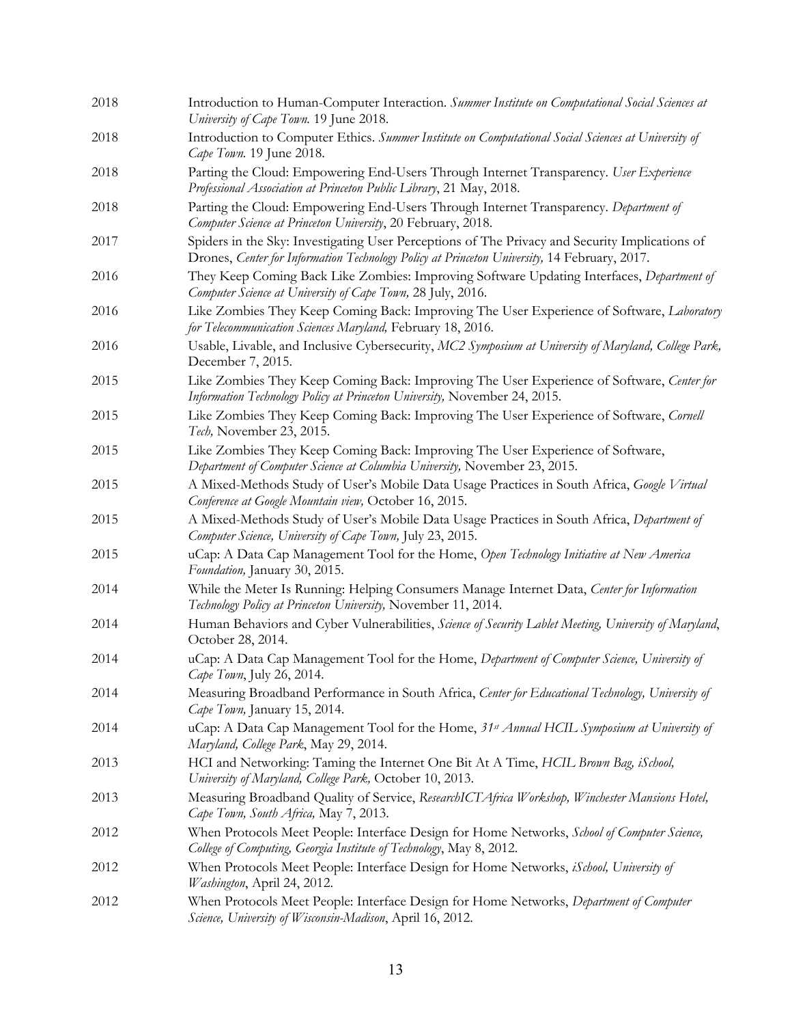| 2018 | Introduction to Human-Computer Interaction. Summer Institute on Computational Social Sciences at<br>University of Cape Town. 19 June 2018.                                                     |
|------|------------------------------------------------------------------------------------------------------------------------------------------------------------------------------------------------|
| 2018 | Introduction to Computer Ethics. Summer Institute on Computational Social Sciences at University of<br>Cape Town. 19 June 2018.                                                                |
| 2018 | Parting the Cloud: Empowering End-Users Through Internet Transparency. User Experience<br>Professional Association at Princeton Public Library, 21 May, 2018.                                  |
| 2018 | Parting the Cloud: Empowering End-Users Through Internet Transparency. Department of<br>Computer Science at Princeton University, 20 February, 2018.                                           |
| 2017 | Spiders in the Sky: Investigating User Perceptions of The Privacy and Security Implications of<br>Drones, Center for Information Technology Policy at Princeton University, 14 February, 2017. |
| 2016 | They Keep Coming Back Like Zombies: Improving Software Updating Interfaces, Department of<br>Computer Science at University of Cape Town, 28 July, 2016.                                       |
| 2016 | Like Zombies They Keep Coming Back: Improving The User Experience of Software, Laboratory<br>for Telecommunication Sciences Maryland, February 18, 2016.                                       |
| 2016 | Usable, Livable, and Inclusive Cybersecurity, MC2 Symposium at University of Maryland, College Park,<br>December 7, 2015.                                                                      |
| 2015 | Like Zombies They Keep Coming Back: Improving The User Experience of Software, Center for<br>Information Technology Policy at Princeton University, November 24, 2015.                         |
| 2015 | Like Zombies They Keep Coming Back: Improving The User Experience of Software, Cornell<br>Tech, November 23, 2015.                                                                             |
| 2015 | Like Zombies They Keep Coming Back: Improving The User Experience of Software,<br>Department of Computer Science at Columbia University, November 23, 2015.                                    |
| 2015 | A Mixed-Methods Study of User's Mobile Data Usage Practices in South Africa, Google Virtual<br>Conference at Google Mountain view, October 16, 2015.                                           |
| 2015 | A Mixed-Methods Study of User's Mobile Data Usage Practices in South Africa, Department of<br>Computer Science, University of Cape Town, July 23, 2015.                                        |
| 2015 | uCap: A Data Cap Management Tool for the Home, Open Technology Initiative at New America<br>Foundation, January 30, 2015.                                                                      |
| 2014 | While the Meter Is Running: Helping Consumers Manage Internet Data, Center for Information<br>Technology Policy at Princeton University, November 11, 2014.                                    |
| 2014 | Human Behaviors and Cyber Vulnerabilities, Science of Security Lablet Meeting, University of Maryland,<br>October 28, 2014.                                                                    |
| 2014 | uCap: A Data Cap Management Tool for the Home, Department of Computer Science, University of<br>Cape Town, July 26, 2014.                                                                      |
| 2014 | Measuring Broadband Performance in South Africa, Center for Educational Technology, University of<br>Cape Town, January 15, 2014.                                                              |
| 2014 | uCap: A Data Cap Management Tool for the Home, 31 <sup>st</sup> Annual HCIL Symposium at University of<br>Maryland, College Park, May 29, 2014.                                                |
| 2013 | HCI and Networking: Taming the Internet One Bit At A Time, HCIL Brown Bag, iSchool,<br>University of Maryland, College Park, October 10, 2013.                                                 |
| 2013 | Measuring Broadband Quality of Service, ResearchICTAfrica Workshop, Winchester Mansions Hotel,<br>Cape Town, South Africa, May 7, 2013.                                                        |
| 2012 | When Protocols Meet People: Interface Design for Home Networks, School of Computer Science,<br>College of Computing, Georgia Institute of Technology, May 8, 2012.                             |
| 2012 | When Protocols Meet People: Interface Design for Home Networks, iSchool, University of<br>Washington, April 24, 2012.                                                                          |
| 2012 | When Protocols Meet People: Interface Design for Home Networks, Department of Computer<br>Science, University of Wisconsin-Madison, April 16, 2012.                                            |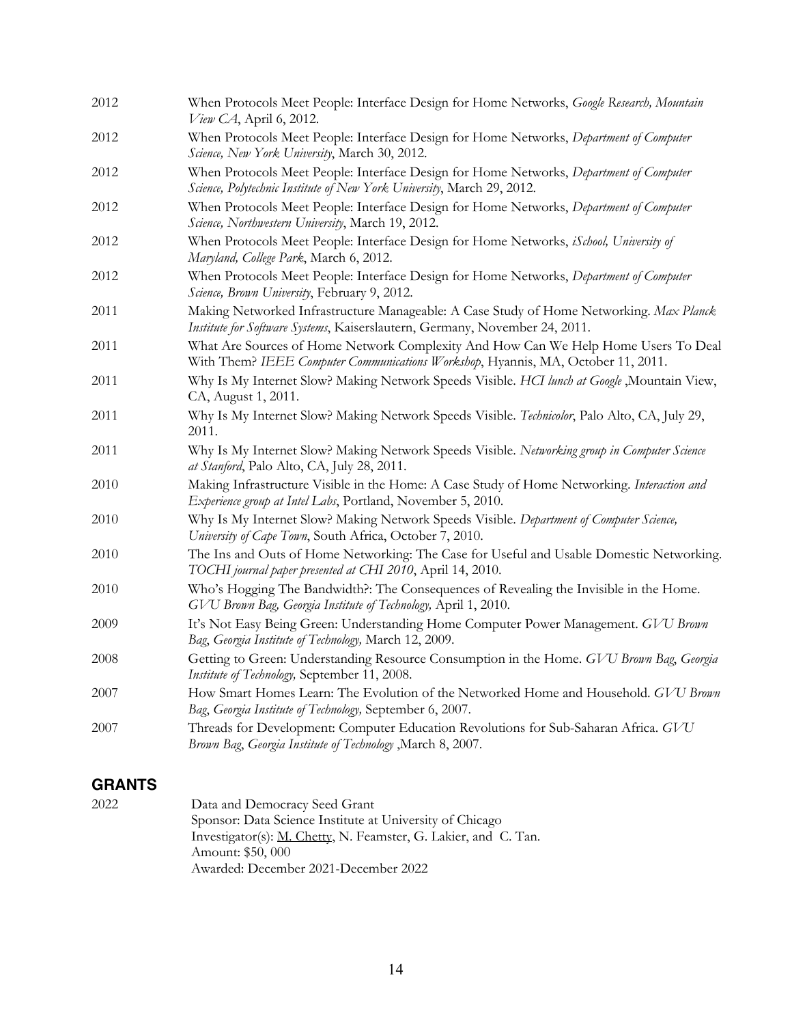| 2012 | When Protocols Meet People: Interface Design for Home Networks, Google Research, Mountain<br>View CA, April 6, 2012.                                                   |
|------|------------------------------------------------------------------------------------------------------------------------------------------------------------------------|
| 2012 | When Protocols Meet People: Interface Design for Home Networks, Department of Computer<br>Science, New York University, March 30, 2012.                                |
| 2012 | When Protocols Meet People: Interface Design for Home Networks, Department of Computer<br>Science, Polytechnic Institute of New York University, March 29, 2012.       |
| 2012 | When Protocols Meet People: Interface Design for Home Networks, Department of Computer<br>Science, Northwestern University, March 19, 2012.                            |
| 2012 | When Protocols Meet People: Interface Design for Home Networks, iSchool, University of<br>Maryland, College Park, March 6, 2012.                                       |
| 2012 | When Protocols Meet People: Interface Design for Home Networks, Department of Computer<br>Science, Brown University, February 9, 2012.                                 |
| 2011 | Making Networked Infrastructure Manageable: A Case Study of Home Networking. Max Planck<br>Institute for Software Systems, Kaiserslautern, Germany, November 24, 2011. |
| 2011 | What Are Sources of Home Network Complexity And How Can We Help Home Users To Deal<br>With Them? IEEE Computer Communications Workshop, Hyannis, MA, October 11, 2011. |
| 2011 | Why Is My Internet Slow? Making Network Speeds Visible. HCI lunch at Google , Mountain View,<br>CA, August 1, 2011.                                                    |
| 2011 | Why Is My Internet Slow? Making Network Speeds Visible. Technicolor, Palo Alto, CA, July 29,<br>2011.                                                                  |
| 2011 | Why Is My Internet Slow? Making Network Speeds Visible. Networking group in Computer Science<br>at Stanford, Palo Alto, CA, July 28, 2011.                             |
| 2010 | Making Infrastructure Visible in the Home: A Case Study of Home Networking. Interaction and<br>Experience group at Intel Labs, Portland, November 5, 2010.             |
| 2010 | Why Is My Internet Slow? Making Network Speeds Visible. Department of Computer Science,<br>University of Cape Town, South Africa, October 7, 2010.                     |
| 2010 | The Ins and Outs of Home Networking: The Case for Useful and Usable Domestic Networking.<br>TOCHI journal paper presented at CHI 2010, April 14, 2010.                 |
| 2010 | Who's Hogging The Bandwidth?: The Consequences of Revealing the Invisible in the Home.<br>GVU Brown Bag, Georgia Institute of Technology, April 1, 2010.               |
| 2009 | It's Not Easy Being Green: Understanding Home Computer Power Management. GVU Brown<br>Bag, Georgia Institute of Technology, March 12, 2009.                            |
| 2008 | Getting to Green: Understanding Resource Consumption in the Home. GVU Brown Bag, Georgia<br>Institute of Technology, September 11, 2008.                               |
| 2007 | How Smart Homes Learn: The Evolution of the Networked Home and Household. GVU Brown<br>Bag, Georgia Institute of Technology, September 6, 2007.                        |
| 2007 | Threads for Development: Computer Education Revolutions for Sub-Saharan Africa. GVU<br>Brown Bag, Georgia Institute of Technology , March 8, 2007.                     |

# **GRANTS**

| 2022 | Data and Democracy Seed Grant                                          |
|------|------------------------------------------------------------------------|
|      | Sponsor: Data Science Institute at University of Chicago               |
|      | Investigator(s): <u>M. Chetty,</u> N. Feamster, G. Lakier, and C. Tan. |
|      | Amount: \$50,000                                                       |
|      | Awarded: December 2021-December 2022                                   |
|      |                                                                        |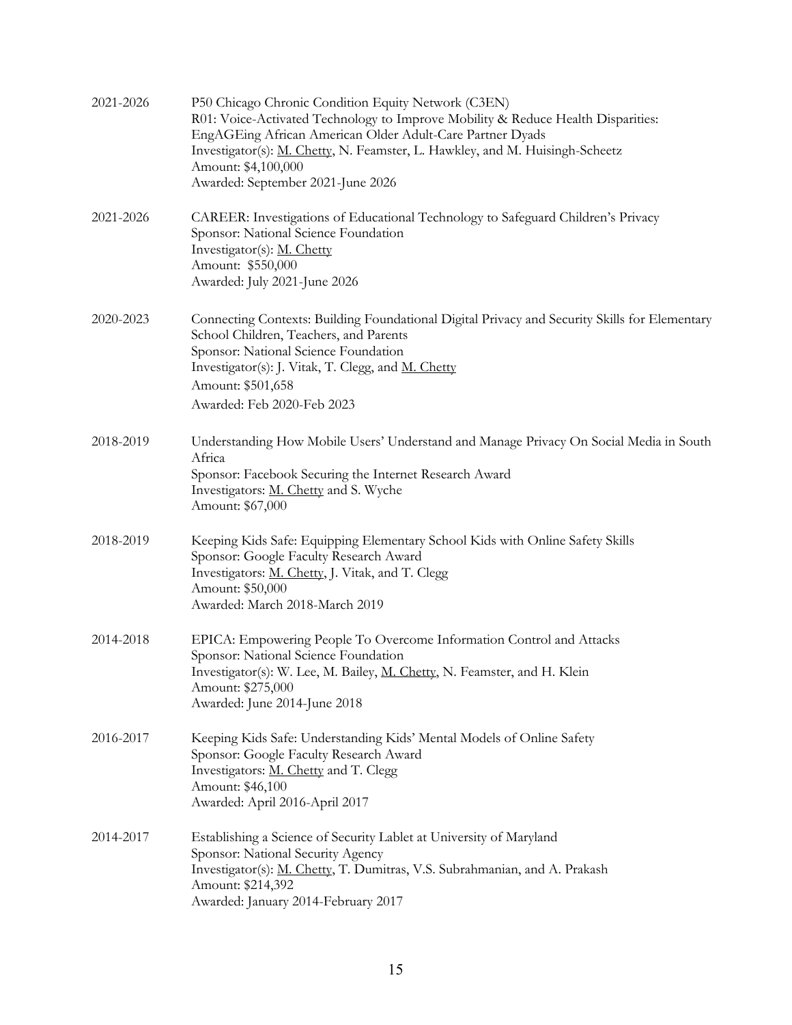| 2021-2026 | P50 Chicago Chronic Condition Equity Network (C3EN)<br>R01: Voice-Activated Technology to Improve Mobility & Reduce Health Disparities:<br>EngAGEing African American Older Adult-Care Partner Dyads<br>Investigator(s): M. Chetty, N. Feamster, L. Hawkley, and M. Huisingh-Scheetz<br>Amount: \$4,100,000<br>Awarded: September 2021-June 2026 |
|-----------|--------------------------------------------------------------------------------------------------------------------------------------------------------------------------------------------------------------------------------------------------------------------------------------------------------------------------------------------------|
| 2021-2026 | CAREER: Investigations of Educational Technology to Safeguard Children's Privacy<br>Sponsor: National Science Foundation<br>Investigator(s): M. Chetty<br>Amount: \$550,000<br>Awarded: July 2021-June 2026                                                                                                                                      |
| 2020-2023 | Connecting Contexts: Building Foundational Digital Privacy and Security Skills for Elementary<br>School Children, Teachers, and Parents<br>Sponsor: National Science Foundation<br>Investigator(s): J. Vitak, T. Clegg, and M. Chetty<br>Amount: \$501,658<br>Awarded: Feb 2020-Feb 2023                                                         |
| 2018-2019 | Understanding How Mobile Users' Understand and Manage Privacy On Social Media in South<br>Africa<br>Sponsor: Facebook Securing the Internet Research Award<br>Investigators: <u>M. Chetty</u> and S. Wyche<br>Amount: \$67,000                                                                                                                   |
| 2018-2019 | Keeping Kids Safe: Equipping Elementary School Kids with Online Safety Skills<br>Sponsor: Google Faculty Research Award<br>Investigators: M. Chetty, J. Vitak, and T. Clegg<br>Amount: \$50,000<br>Awarded: March 2018-March 2019                                                                                                                |
| 2014-2018 | EPICA: Empowering People To Overcome Information Control and Attacks<br>Sponsor: National Science Foundation<br>Investigator(s): W. Lee, M. Bailey, <u>M. Chetty,</u> N. Feamster, and H. Klein<br>Amount: \$275,000<br>Awarded: June 2014-June 2018                                                                                             |
| 2016-2017 | Keeping Kids Safe: Understanding Kids' Mental Models of Online Safety<br>Sponsor: Google Faculty Research Award<br>Investigators: M. Chetty and T. Clegg<br>Amount: \$46,100<br>Awarded: April 2016-April 2017                                                                                                                                   |
| 2014-2017 | Establishing a Science of Security Lablet at University of Maryland<br>Sponsor: National Security Agency<br>Investigator(s): <u>M. Chetty</u> , T. Dumitras, V.S. Subrahmanian, and A. Prakash<br>Amount: \$214,392<br>Awarded: January 2014-February 2017                                                                                       |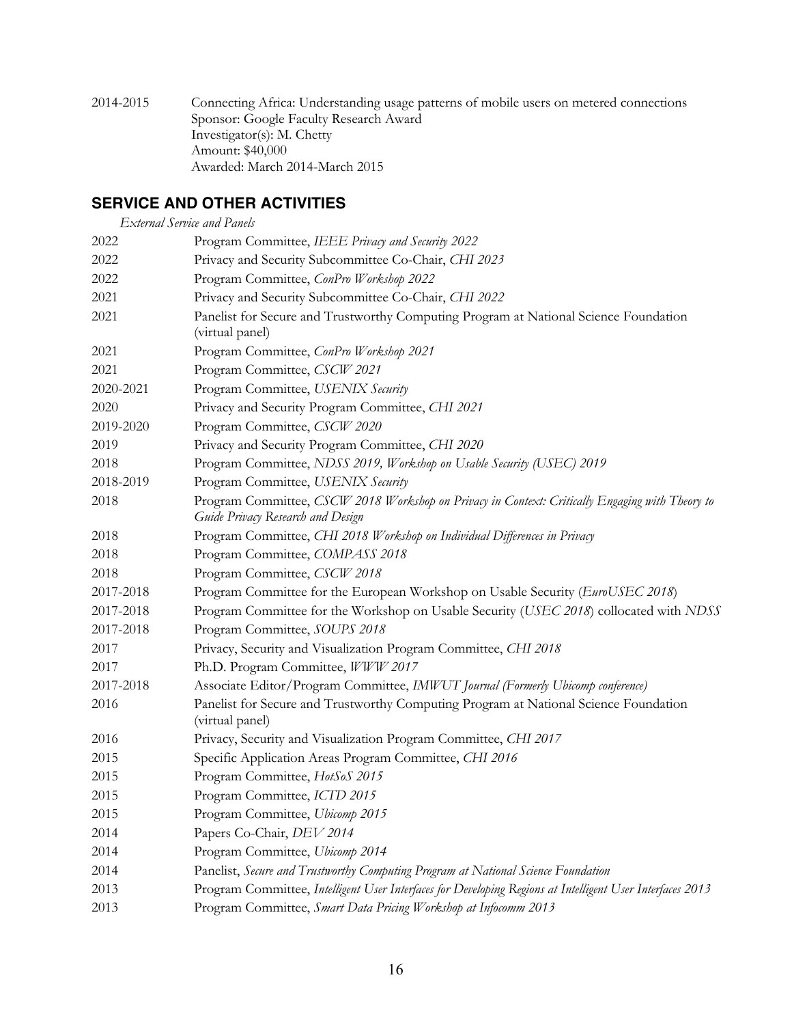2014-2015 Connecting Africa: Understanding usage patterns of mobile users on metered connections Sponsor: Google Faculty Research Award Investigator(s): M. Chetty Amount: \$40,000 Awarded: March 2014-March 2015

# **SERVICE AND OTHER ACTIVITIES**

| <b>External Service and Panels</b> |                                                                                                                                      |
|------------------------------------|--------------------------------------------------------------------------------------------------------------------------------------|
| 2022                               | Program Committee, IEEE Privacy and Security 2022                                                                                    |
| 2022                               | Privacy and Security Subcommittee Co-Chair, CHI 2023                                                                                 |
| 2022                               | Program Committee, ConPro Workshop 2022                                                                                              |
| 2021                               | Privacy and Security Subcommittee Co-Chair, CHI 2022                                                                                 |
| 2021                               | Panelist for Secure and Trustworthy Computing Program at National Science Foundation                                                 |
|                                    | (virtual panel)                                                                                                                      |
| 2021                               | Program Committee, ConPro Workshop 2021                                                                                              |
| 2021                               | Program Committee, CSCW 2021                                                                                                         |
| 2020-2021                          | Program Committee, USENIX Security                                                                                                   |
| 2020                               | Privacy and Security Program Committee, CHI 2021                                                                                     |
| 2019-2020                          | Program Committee, CSCW 2020                                                                                                         |
| 2019                               | Privacy and Security Program Committee, CHI 2020                                                                                     |
| 2018                               | Program Committee, NDSS 2019, Workshop on Usable Security (USEC) 2019                                                                |
| 2018-2019                          | Program Committee, USENIX Security                                                                                                   |
| 2018                               | Program Committee, CSCW 2018 Workshop on Privacy in Context: Critically Engaging with Theory to<br>Guide Privacy Research and Design |
| 2018                               | Program Committee, CHI 2018 Workshop on Individual Differences in Privacy                                                            |
| 2018                               | Program Committee, COMPASS 2018                                                                                                      |
| 2018                               | Program Committee, CSCW 2018                                                                                                         |
| 2017-2018                          | Program Committee for the European Workshop on Usable Security (EuroUSEC 2018)                                                       |
| 2017-2018                          | Program Committee for the Workshop on Usable Security (USEC 2018) collocated with NDSS                                               |
| 2017-2018                          | Program Committee, SOUPS 2018                                                                                                        |
| 2017                               | Privacy, Security and Visualization Program Committee, CHI 2018                                                                      |
| 2017                               | Ph.D. Program Committee, WWW 2017                                                                                                    |
| 2017-2018                          | Associate Editor/Program Committee, IMWUT Journal (Formerly Ubicomp conference)                                                      |
| 2016                               | Panelist for Secure and Trustworthy Computing Program at National Science Foundation<br>(virtual panel)                              |
| 2016                               | Privacy, Security and Visualization Program Committee, CHI 2017                                                                      |
| 2015                               | Specific Application Areas Program Committee, CHI 2016                                                                               |
| 2015                               | Program Committee, HotSoS 2015                                                                                                       |
| 2015                               | Program Committee, ICTD 2015                                                                                                         |
| 2015                               | Program Committee, Ubicomp 2015                                                                                                      |
| 2014                               | Papers Co-Chair, DEV 2014                                                                                                            |
| 2014                               | Program Committee, Ubicomp 2014                                                                                                      |
| 2014                               | Panelist, Secure and Trustworthy Computing Program at National Science Foundation                                                    |
| 2013                               | Program Committee, Intelligent User Interfaces for Developing Regions at Intelligent User Interfaces 2013                            |
| 2013                               | Program Committee, Smart Data Pricing Workshop at Infocomm 2013                                                                      |
|                                    |                                                                                                                                      |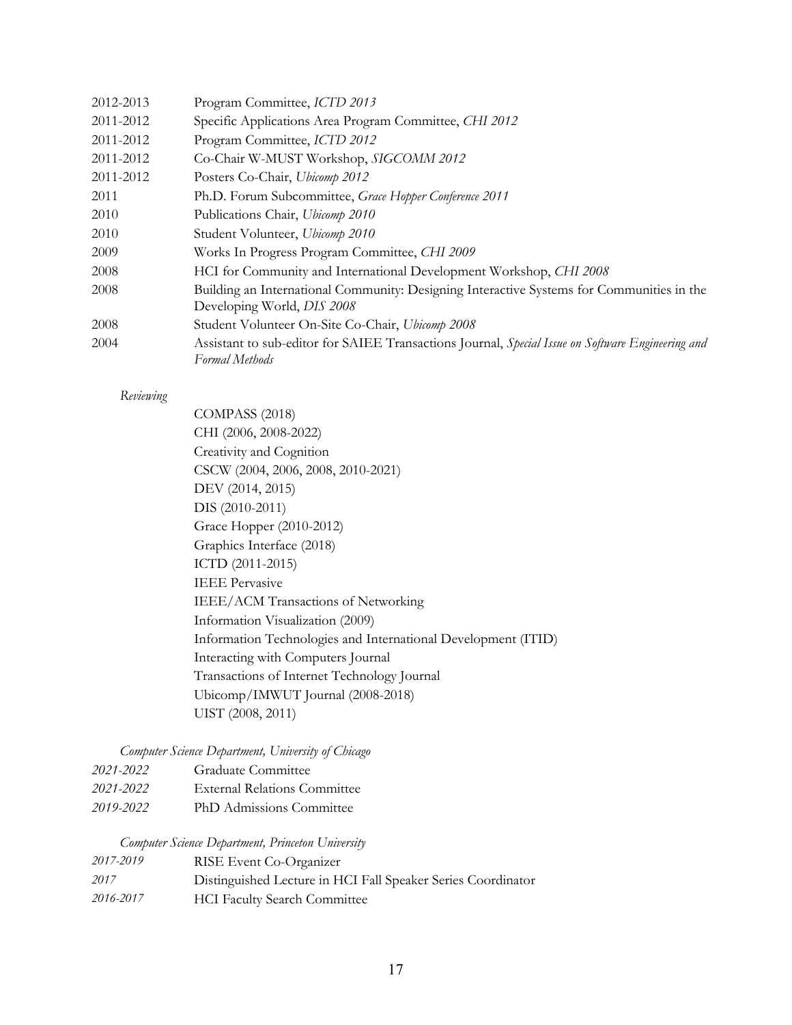| 2012-2013 | Program Committee, ICTD 2013                                                                                            |
|-----------|-------------------------------------------------------------------------------------------------------------------------|
| 2011-2012 | Specific Applications Area Program Committee, CHI 2012                                                                  |
| 2011-2012 | Program Committee, ICTD 2012                                                                                            |
| 2011-2012 | Co-Chair W-MUST Workshop, SIGCOMM 2012                                                                                  |
| 2011-2012 | Posters Co-Chair, Ubicomp 2012                                                                                          |
| 2011      | Ph.D. Forum Subcommittee, Grace Hopper Conference 2011                                                                  |
| 2010      | Publications Chair, Ubicomp 2010                                                                                        |
| 2010      | Student Volunteer, Ubicomp 2010                                                                                         |
| 2009      | Works In Progress Program Committee, CHI 2009                                                                           |
| 2008      | HCI for Community and International Development Workshop, CHI 2008                                                      |
| 2008      | Building an International Community: Designing Interactive Systems for Communities in the<br>Developing World, DIS 2008 |
| 2008      | Student Volunteer On-Site Co-Chair, Ubicomp 2008                                                                        |
| 2004      | Assistant to sub-editor for SAIEE Transactions Journal, Special Issue on Software Engineering and<br>Formal Methods     |

#### *Reviewing*

COMPASS (2018) CHI (2006, 2008-2022) Creativity and Cognition CSCW (2004, 2006, 2008, 2010-2021) DEV (2014, 2015) DIS (2010-2011) Grace Hopper (2010-2012) Graphics Interface (2018) ICTD (2011-2015) IEEE Pervasive IEEE/ACM Transactions of Networking Information Visualization (2009) Information Technologies and International Development (ITID) Interacting with Computers Journal Transactions of Internet Technology Journal Ubicomp/IMWUT Journal (2008-2018) UIST (2008, 2011)

#### *Computer Science Department, University of Chicago*

| 2021-2022 | Graduate Committee                  |
|-----------|-------------------------------------|
| 2021-2022 | <b>External Relations Committee</b> |
| 2019-2022 | PhD Admissions Committee            |

#### *Computer Science Department, Princeton University*

| 2017-2019 | RISE Event Co-Organizer                                      |
|-----------|--------------------------------------------------------------|
| 2017      | Distinguished Lecture in HCI Fall Speaker Series Coordinator |
| 2016-2017 | <b>HCI Faculty Search Committee</b>                          |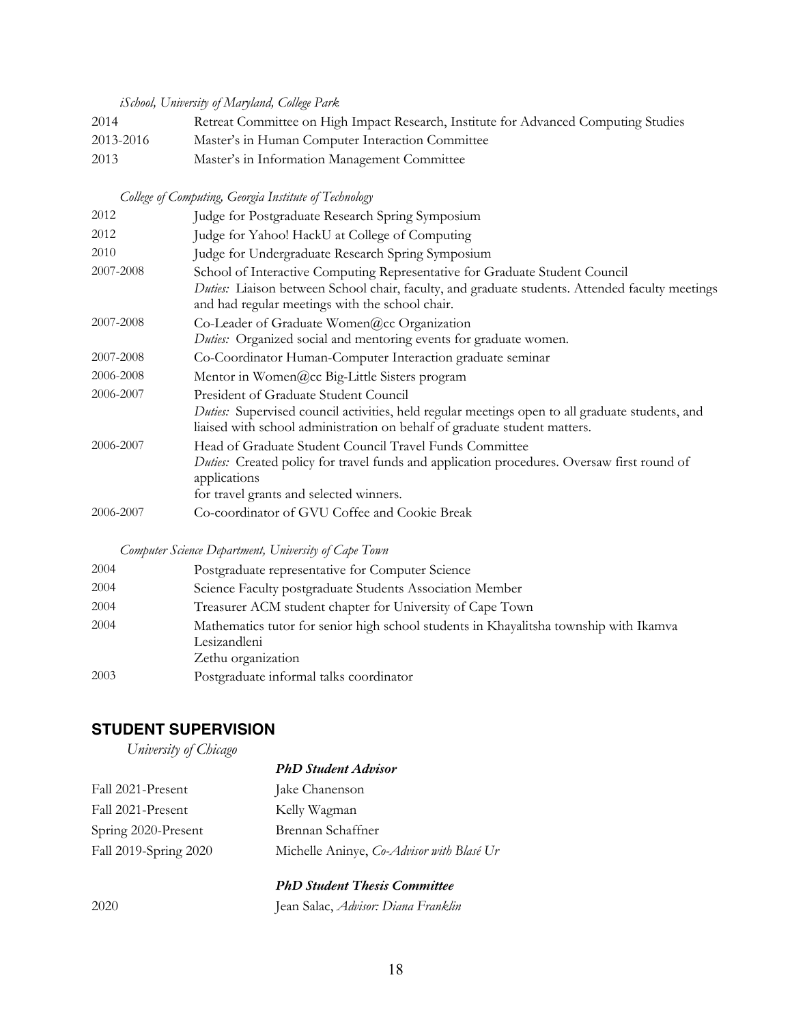*iSchool, University of Maryland, College Park*

| 2014      | Retreat Committee on High Impact Research, Institute for Advanced Computing Studies |
|-----------|-------------------------------------------------------------------------------------|
| 2013-2016 | Master's in Human Computer Interaction Committee                                    |
| 2013      | Master's in Information Management Committee                                        |

# *College of Computing, Georgia Institute of Technology*

| 2012      | Judge for Postgraduate Research Spring Symposium                                                                                                                                                                                  |
|-----------|-----------------------------------------------------------------------------------------------------------------------------------------------------------------------------------------------------------------------------------|
| 2012      | Judge for Yahoo! HackU at College of Computing                                                                                                                                                                                    |
| 2010      | Judge for Undergraduate Research Spring Symposium                                                                                                                                                                                 |
| 2007-2008 | School of Interactive Computing Representative for Graduate Student Council<br>Duties: Liaison between School chair, faculty, and graduate students. Attended faculty meetings<br>and had regular meetings with the school chair. |
| 2007-2008 | Co-Leader of Graduate Women@cc Organization<br>Duties: Organized social and mentoring events for graduate women.                                                                                                                  |
| 2007-2008 | Co-Coordinator Human-Computer Interaction graduate seminar                                                                                                                                                                        |
| 2006-2008 | Mentor in Women@cc Big-Little Sisters program                                                                                                                                                                                     |
| 2006-2007 | President of Graduate Student Council<br>Duties: Supervised council activities, held regular meetings open to all graduate students, and<br>liaised with school administration on behalf of graduate student matters.             |
| 2006-2007 | Head of Graduate Student Council Travel Funds Committee<br>Duties: Created policy for travel funds and application procedures. Oversaw first round of<br>applications<br>for travel grants and selected winners.                  |
| 2006-2007 | Co-coordinator of GVU Coffee and Cookie Break                                                                                                                                                                                     |
|           |                                                                                                                                                                                                                                   |

#### *Computer Science Department, University of Cape Town*

| 2004 | Postgraduate representative for Computer Science                                                                            |
|------|-----------------------------------------------------------------------------------------------------------------------------|
| 2004 | Science Faculty postgraduate Students Association Member                                                                    |
| 2004 | Treasurer ACM student chapter for University of Cape Town                                                                   |
| 2004 | Mathematics tutor for senior high school students in Khayalitsha township with Ikamva<br>Lesizandleni<br>Zethu organization |
| 2003 | Postgraduate informal talks coordinator                                                                                     |

# **STUDENT SUPERVISION**

*University of Chicago*

|                       | <b>PhD</b> Student Advisor                |
|-----------------------|-------------------------------------------|
| Fall 2021-Present     | Jake Chanenson                            |
| Fall 2021-Present     | Kelly Wagman                              |
| Spring 2020-Present   | Brennan Schaffner                         |
| Fall 2019-Spring 2020 | Michelle Aninye, Co-Advisor with Blasé Ur |

# *PhD Student Thesis Committee*

2020 Jean Salac, *Advisor: Diana Franklin*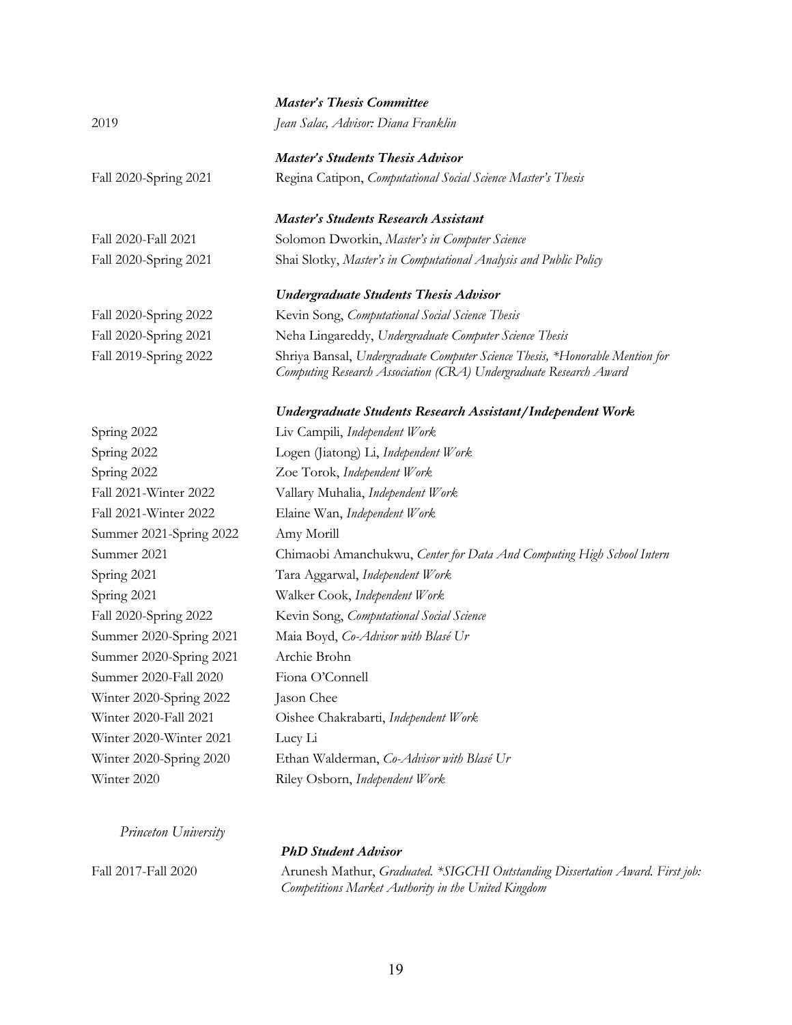|                         | <b>Master's Thesis Committee</b>                                                                                                                  |
|-------------------------|---------------------------------------------------------------------------------------------------------------------------------------------------|
| 2019                    | Jean Salac, Advisor: Diana Franklin                                                                                                               |
|                         | <b>Master's Students Thesis Advisor</b>                                                                                                           |
| Fall 2020-Spring 2021   | Regina Catipon, Computational Social Science Master's Thesis                                                                                      |
|                         | <b>Master's Students Research Assistant</b>                                                                                                       |
| Fall 2020-Fall 2021     | Solomon Dworkin, Master's in Computer Science                                                                                                     |
| Fall 2020-Spring 2021   | Shai Slotky, Master's in Computational Analysis and Public Policy                                                                                 |
|                         | <b>Undergraduate Students Thesis Advisor</b>                                                                                                      |
| Fall 2020-Spring 2022   | Kevin Song, Computational Social Science Thesis                                                                                                   |
| Fall 2020-Spring 2021   | Neha Lingareddy, Undergraduate Computer Science Thesis                                                                                            |
| Fall 2019-Spring 2022   | Shriya Bansal, Undergraduate Computer Science Thesis, *Honorable Mention for<br>Computing Research Association (CRA) Undergraduate Research Award |
|                         | Undergraduate Students Research Assistant/Independent Work                                                                                        |
| Spring 2022             | Liv Campili, Independent Work                                                                                                                     |
| Spring 2022             | Logen (Jiatong) Li, Independent Work                                                                                                              |
| Spring 2022             | Zoe Torok, Independent Work                                                                                                                       |
| Fall 2021-Winter 2022   | Vallary Muhalia, Independent Work                                                                                                                 |
| Fall 2021-Winter 2022   | Elaine Wan, Independent Work                                                                                                                      |
| Summer 2021-Spring 2022 | Amy Morill                                                                                                                                        |
| Summer 2021             | Chimaobi Amanchukwu, Center for Data And Computing High School Intern                                                                             |
| Spring 2021             | Tara Aggarwal, Independent Work                                                                                                                   |
| Spring 2021             | Walker Cook, Independent Work                                                                                                                     |
| Fall 2020-Spring 2022   | Kevin Song, Computational Social Science                                                                                                          |
| Summer 2020-Spring 2021 | Maia Boyd, Co-Advisor with Blasé Ur                                                                                                               |
| Summer 2020-Spring 2021 | Archie Brohn                                                                                                                                      |
| Summer 2020-Fall 2020   | Fiona O'Connell                                                                                                                                   |
| Winter 2020-Spring 2022 | Jason Chee                                                                                                                                        |
| Winter 2020-Fall 2021   | Oishee Chakrabarti, Independent Work                                                                                                              |
| Winter 2020-Winter 2021 | Lucy Li                                                                                                                                           |
| Winter 2020-Spring 2020 | Ethan Walderman, Co-Advisor with Blasé Ur                                                                                                         |
| Winter 2020             | Riley Osborn, Independent Work                                                                                                                    |
|                         |                                                                                                                                                   |

*Princeton University*

## *PhD Student Advisor*

Fall 2017-Fall 2020 Arunesh Mathur, *Graduated. \*SIGCHI Outstanding Dissertation Award. First job: Competitions Market Authority in the United Kingdom*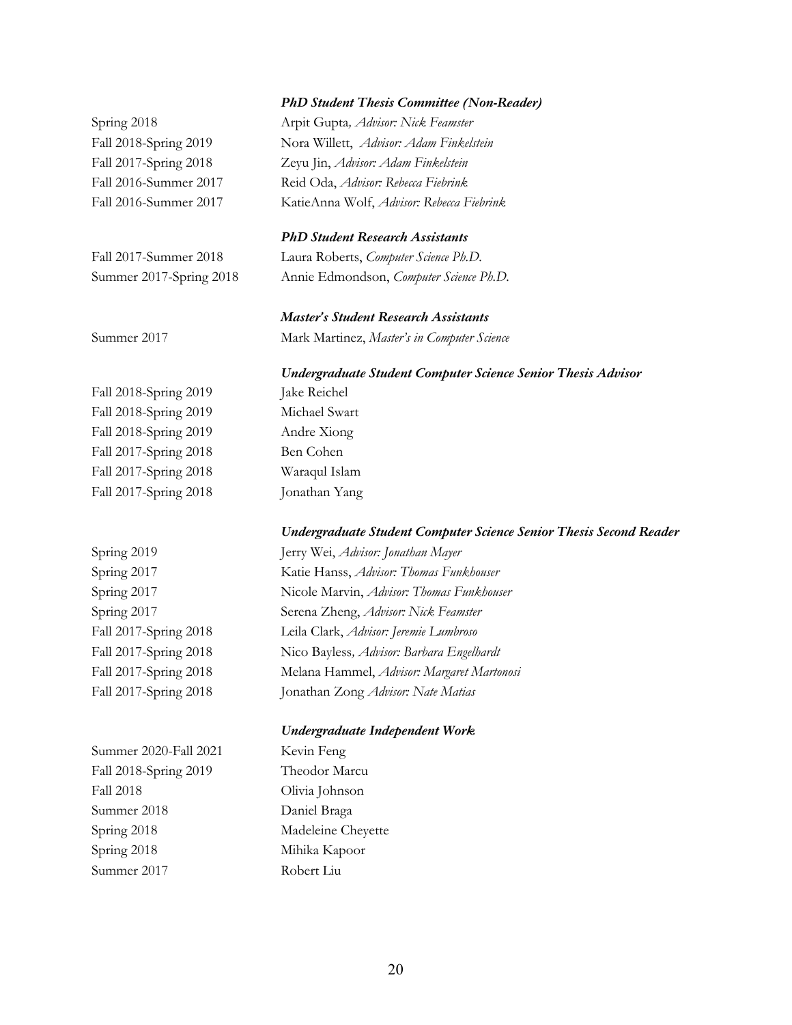#### *PhD Student Thesis Committee (Non-Reader)*

Spring 2018 Arpit Gupta*, Advisor: Nick Feamster* Fall 2018-Spring 2019 Nora Willett, *Advisor: Adam Finkelstein* Fall 2017-Spring 2018 Zeyu Jin, *Advisor: Adam Finkelstein* Fall 2016-Summer 2017 Reid Oda, *Advisor: Rebecca Fiebrink* Fall 2016-Summer 2017 KatieAnna Wolf, *Advisor: Rebecca Fiebrink*

#### *PhD Student Research Assistants*

Fall 2017-Summer 2018 Laura Roberts, *Computer Science Ph.D.* Summer 2017-Spring 2018 Annie Edmondson, *Computer Science Ph.D.*

# *Master's Student Research Assistants*

Summer 2017 Mark Martinez, *Master's in Computer Science*

Fall 2018-Spring 2019 Jake Reichel Fall 2018-Spring 2019 Michael Swart Fall 2018-Spring 2019 Andre Xiong Fall 2017-Spring 2018 Ben Cohen Fall 2017-Spring 2018 Waraqul Islam Fall 2017-Spring 2018 Jonathan Yang

#### *Undergraduate Student Computer Science Senior Thesis Second Reader*

*Undergraduate Student Computer Science Senior Thesis Advisor*

Summer 2020-Fall 2021 Kevin Feng Fall 2018-Spring 2019 Theodor Marcu Fall 2018 Olivia Johnson Summer 2018 Daniel Braga Spring 2018 Madeleine Cheyette Spring 2018 Mihika Kapoor

Summer 2017 Robert Liu

Spring 2019 Jerry Wei, *Advisor: Jonathan Mayer* Spring 2017 Katie Hanss, *Advisor: Thomas Funkhouser* Spring 2017 Nicole Marvin, *Advisor: Thomas Funkhouser* Spring 2017 Serena Zheng, *Advisor: Nick Feamster* Fall 2017-Spring 2018 Leila Clark, *Advisor: Jeremie Lumbroso* Fall 2017-Spring 2018 Nico Bayless*, Advisor: Barbara Engelhardt* Fall 2017-Spring 2018 Melana Hammel, *Advisor: Margaret Martonosi* Fall 2017-Spring 2018 Jonathan Zong *Advisor: Nate Matias*

#### *Undergraduate Independent Work*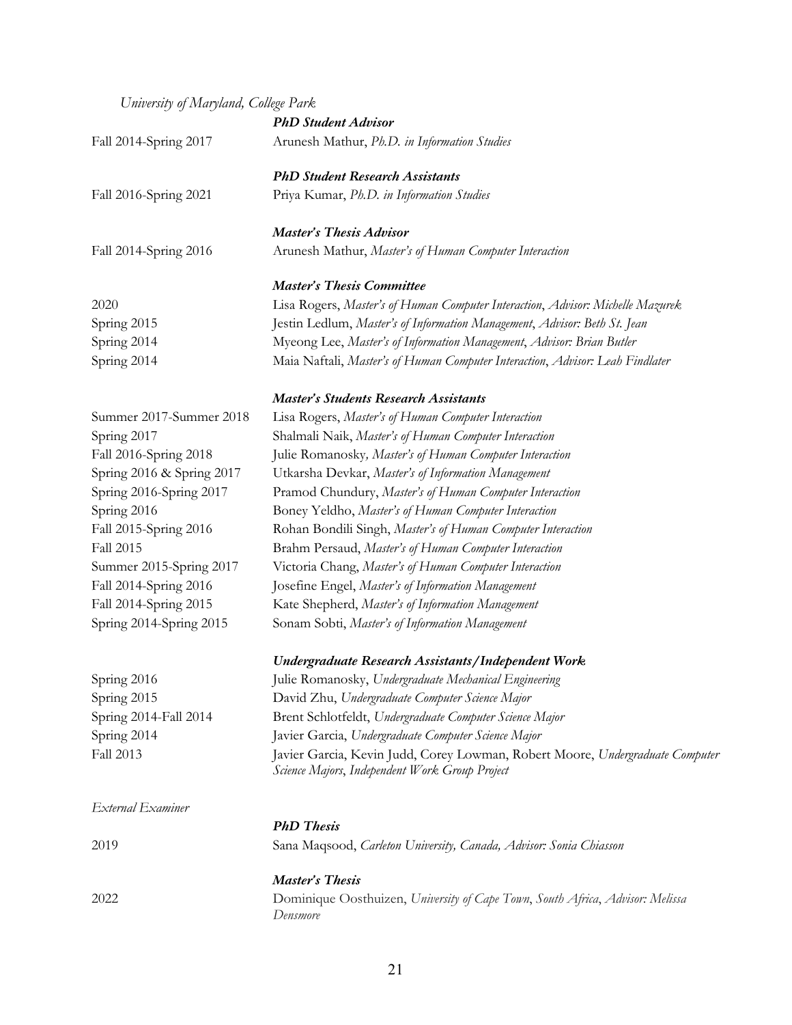# *University of Maryland, College Park*

|                           | <b>PhD</b> Student Advisor                                                                                                      |
|---------------------------|---------------------------------------------------------------------------------------------------------------------------------|
| Fall 2014-Spring 2017     | Arunesh Mathur, Ph.D. in Information Studies                                                                                    |
|                           | <b>PhD Student Research Assistants</b>                                                                                          |
| Fall 2016-Spring 2021     | Priya Kumar, Ph.D. in Information Studies                                                                                       |
|                           | <b>Master's Thesis Advisor</b>                                                                                                  |
| Fall 2014-Spring 2016     | Arunesh Mathur, Master's of Human Computer Interaction                                                                          |
|                           | <b>Master's Thesis Committee</b>                                                                                                |
| 2020                      | Lisa Rogers, Master's of Human Computer Interaction, Advisor: Michelle Mazurek                                                  |
| Spring 2015               | Jestin Ledlum, Master's of Information Management, Advisor: Beth St. Jean                                                       |
| Spring 2014               | Myeong Lee, Master's of Information Management, Advisor: Brian Butler                                                           |
| Spring 2014               | Maia Naftali, Master's of Human Computer Interaction, Advisor: Leah Findlater                                                   |
|                           | <b>Master's Students Research Assistants</b>                                                                                    |
| Summer 2017-Summer 2018   | Lisa Rogers, Master's of Human Computer Interaction                                                                             |
| Spring 2017               | Shalmali Naik, Master's of Human Computer Interaction                                                                           |
| Fall 2016-Spring 2018     | Julie Romanosky, Master's of Human Computer Interaction                                                                         |
| Spring 2016 & Spring 2017 | Utkarsha Devkar, Master's of Information Management                                                                             |
| Spring 2016-Spring 2017   | Pramod Chundury, Master's of Human Computer Interaction                                                                         |
| Spring 2016               | Boney Yeldho, Master's of Human Computer Interaction                                                                            |
| Fall 2015-Spring 2016     | Rohan Bondili Singh, Master's of Human Computer Interaction                                                                     |
| <b>Fall 2015</b>          | Brahm Persaud, Master's of Human Computer Interaction                                                                           |
| Summer 2015-Spring 2017   | Victoria Chang, Master's of Human Computer Interaction                                                                          |
| Fall 2014-Spring 2016     | Josefine Engel, Master's of Information Management                                                                              |
| Fall 2014-Spring 2015     | Kate Shepherd, Master's of Information Management                                                                               |
| Spring 2014-Spring 2015   | Sonam Sobti, Master's of Information Management                                                                                 |
|                           | Undergraduate Research Assistants/Independent Work                                                                              |
| Spring 2016               | Julie Romanosky, Undergraduate Mechanical Engineering                                                                           |
| Spring 2015               | David Zhu, Undergraduate Computer Science Major                                                                                 |
| Spring 2014-Fall 2014     | Brent Schlotfeldt, Undergraduate Computer Science Major                                                                         |
| Spring 2014               | Javier Garcia, Undergraduate Computer Science Major                                                                             |
| <b>Fall 2013</b>          | Javier Garcia, Kevin Judd, Corey Lowman, Robert Moore, Undergraduate Computer<br>Science Majors, Independent Work Group Project |
| External Examiner         |                                                                                                                                 |
|                           | <b>PhD</b> Thesis                                                                                                               |
| 2019                      | Sana Maqsood, Carleton University, Canada, Advisor: Sonia Chiasson                                                              |
|                           | Master's Thesis                                                                                                                 |
| 2022                      | Dominique Oosthuizen, University of Cape Town, South Africa, Advisor: Melissa<br>Densmore                                       |
|                           |                                                                                                                                 |